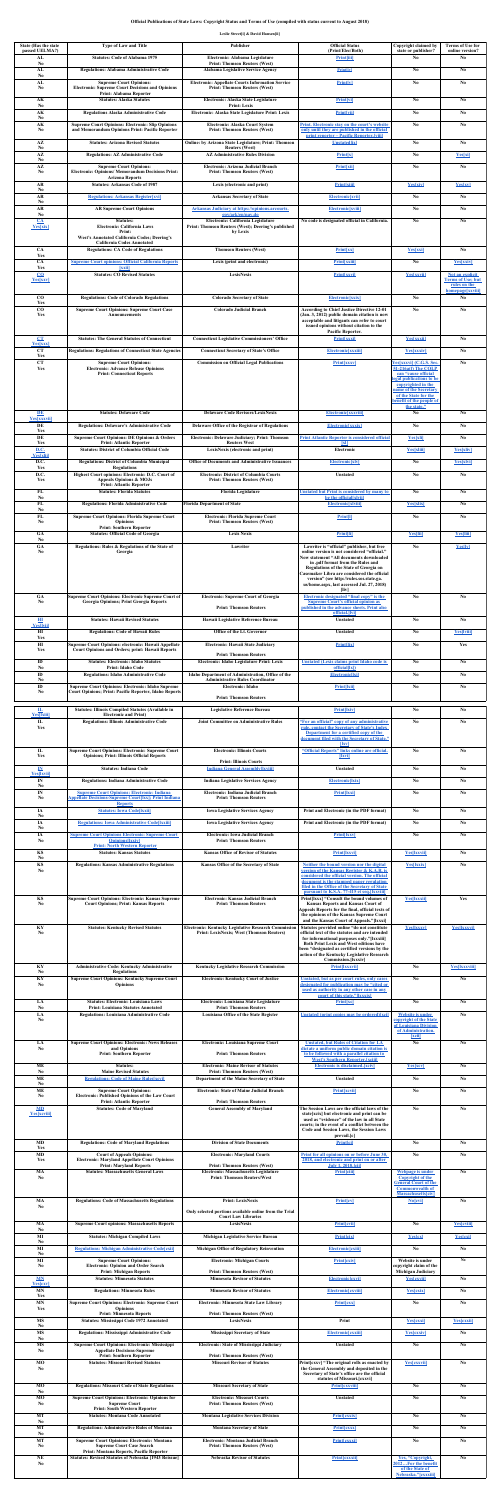# **Official Publications of State Laws: Copyright Status and Terms of Use (compiled with status current to August 2018)**

## **Leslie Street[i] & David Hansen[ii]**

| <b>State (Has the state)</b><br>passed UELMA?)<br>AL | <b>Type of Law and Title</b><br><b>Statutes: Code of Alabama 1975</b>                                                                             | Publisher                                                                                                                  | <b>Official Status</b><br>(Print/Elec/Both)                                                                                                               | Copyright claimed by<br>state or publisher?<br>$\bf No$                            | <b>Terms of Use for</b><br>online version?<br>N <sub>0</sub> |
|------------------------------------------------------|---------------------------------------------------------------------------------------------------------------------------------------------------|----------------------------------------------------------------------------------------------------------------------------|-----------------------------------------------------------------------------------------------------------------------------------------------------------|------------------------------------------------------------------------------------|--------------------------------------------------------------|
| N <sub>0</sub><br>AL                                 | <b>Regulations: Alabama Administrative Code</b>                                                                                                   | Electronic: Alabama Legislature<br><b>Print: Thomson Reuters (West)</b><br><b>Alabama Legislative Service Agency</b>       | <b>Print[iii]</b><br><b>Print</b> [iv]                                                                                                                    | $\mathbf{N}\mathbf{0}$                                                             | $\mathbf{N}\mathbf{0}$                                       |
| No<br>AL<br>N <sub>0</sub>                           | <b>Supreme Court Opinions:</b><br><b>Electronic: Supreme Court Decisions and Opinions</b>                                                         | <b>Electronic: Appellate Courts Information Service</b><br><b>Print: Thomson Reuters (West)</b>                            | <b>Print[v]</b>                                                                                                                                           | $\bf No$                                                                           | $\mathbf{N}\mathbf{0}$                                       |
| AK                                                   | <b>Print: Alabama Reporter</b><br><b>Statutes: Alaska Statutes</b>                                                                                | <b>Electronic: Alaska State Legislature</b>                                                                                | <b>Print[vi]</b>                                                                                                                                          | No                                                                                 | No                                                           |
| N <sub>0</sub><br>AK<br>N <sub>0</sub>               | <b>Regulations Alaska Administrative Code</b>                                                                                                     | <b>Print: Lexis</b><br>Electronic: Alaska State Legislature Print: Lexis                                                   | <b>Print</b> [vii]                                                                                                                                        | N <sub>0</sub>                                                                     | No                                                           |
| AK<br>N <sub>0</sub>                                 | <b>Supreme Court Opinions: Electronic: Slip Opinions</b><br>and Memorandum Opinions Print: Pacific Reporter                                       | <b>Electronic: Alaska Court System</b><br><b>Print: Thomson Reuters (West)</b>                                             | <b>Print. Electronic stay on the court's website</b><br>only until they are published in the official<br><u>print reporter – Pacific Reporter. [viii]</u> | $\mathbf{N}\mathbf{0}$                                                             | N <sub>0</sub>                                               |
| $A\mathbf{Z}$<br>N <sub>0</sub>                      | <b>Statutes: Arizona Revised Statutes</b>                                                                                                         | <b>Online: by Arizona State Legislature; Print: Thomson</b><br><b>Reuters (West)</b>                                       | <b>Unstated</b> [ix]                                                                                                                                      | No                                                                                 | N <sub>0</sub>                                               |
| $A\mathbf{Z}$<br>N <sub>0</sub><br>$A\mathbf{Z}$     | <b>Regulations: AZ Administrative Code</b><br><b>Supreme Court Opinions:</b>                                                                      | <b>AZ Administrative Rules Division</b><br><b>Electronic: Arizona Judicial Branch</b>                                      | <b>Print[x]</b><br><b>Print[xii]</b>                                                                                                                      | N <sub>0</sub><br>$\mathbf{N}\mathbf{0}$                                           | <b>Yes</b> xi<br>$\mathbf{N}\mathbf{0}$                      |
| N <sub>0</sub>                                       | <b>Electronic: Opinions/ Memorandum Decisions Print:</b><br><b>Arizona Reports</b>                                                                | <b>Print: Thomson Reuters (West)</b>                                                                                       |                                                                                                                                                           |                                                                                    |                                                              |
| <b>AR</b><br>N <sub>0</sub><br><b>AR</b>             | <b>Statutes: Arkansas Code of 1987</b><br><b>Regulations: Arkansas Register[xvi]</b>                                                              | Lexis (electronic and print)<br><b>Arkansas Secretary of State</b>                                                         | Print[xiii]<br><b>Electronic[xvii]</b>                                                                                                                    | <b>Yes[xiv]</b><br><b>No</b>                                                       | <b>Yes</b> xv<br>No                                          |
| $\bf No$<br><b>AR</b><br>N <sub>0</sub>              | <b>AR Supreme Court Opinions</b>                                                                                                                  | <b>Arkansas Judiciary at https://opinions.arcourts.</b><br>gov/ark/en/nav.do                                               | <b>Electronic[xviii]</b>                                                                                                                                  | No                                                                                 | N <sub>0</sub>                                               |
| $CA$<br><b>Yes</b> xix                               | <b>Statutes:</b><br><b>Electronic: California Laws</b>                                                                                            | Electronic: California Legislature<br><b>Print: Thomson Reuters (West); Deering's published</b>                            | No code is designated official in California.                                                                                                             | N <sub>0</sub>                                                                     | N <sub>0</sub>                                               |
|                                                      | Print:<br><b>West's Annotated California Codes; Deering's</b><br><b>California Codes Annotated</b>                                                | by Lexis                                                                                                                   |                                                                                                                                                           |                                                                                    |                                                              |
| <b>CA</b><br>Yes<br><b>CA</b>                        | <b>Regulations: CA Code of Regulations</b><br><b>Supreme Court opinions: Official California Reports</b>                                          | <b>Thomson Reuters (West)</b><br>Lexis (print and electronic)                                                              | <b>Print[xx]</b><br><b>Print</b> [xxiii]                                                                                                                  | <b>Yes</b> xxi<br>N <sub>0</sub>                                                   | N <sub>0</sub><br><b>Yes</b> xxiv                            |
| Yes<br>$\underline{\mathbf{CO}}$                     | <b>xxii</b><br><b>Statutes: CO Revised Statutes</b>                                                                                               | <b>LexisNexis</b>                                                                                                          | <b>Print[xxvi]</b>                                                                                                                                        | <b>Yes</b> xxviil                                                                  | Not an explicit                                              |
| <b>Yes</b> xxv                                       |                                                                                                                                                   |                                                                                                                            |                                                                                                                                                           |                                                                                    | <b>Terms of Use; but</b><br>rules on the<br>homepage[xxviii] |
| CO<br>Yes<br>CO                                      | <b>Regulations: Code of Colorado Regulations</b><br><b>Supreme Court Opinions: Supreme Court Case</b>                                             | <b>Colorado Secretary of State</b><br><b>Colorado Judicial Branch</b>                                                      | <b>Electronic[xxix]</b><br><b>According to Chief Justice Directive 12-01</b>                                                                              | N <sub>0</sub><br>N <sub>0</sub>                                                   | N <sub>0</sub><br>No                                         |
| Yes                                                  | <b>Announcements</b>                                                                                                                              |                                                                                                                            | (Jan. 3, 2012) public domain citation is now<br>acceptable and litigants can refer to court<br>issued opinions without citation to the                    |                                                                                    |                                                              |
| CT                                                   | <b>Statutes: The General Statutes of Connecticut</b>                                                                                              | <b>Connecticut Legislative Commissioners' Office</b>                                                                       | <b>Pacific Reporter.</b><br><b>Print</b> [xxxi]                                                                                                           | <b>Yes[xxxii]</b>                                                                  | No                                                           |
| <b>Yes</b> xxx<br><b>CT</b><br>Yes                   | <b>Regulations: Regulations of Connecticut State Agencies</b>                                                                                     | <b>Connecticut Secretary of State's Office</b>                                                                             | Electronic[xxxiii]                                                                                                                                        | <b>Yes[xxxiv]</b>                                                                  | N <sub>0</sub>                                               |
| <b>CT</b><br>Yes                                     | <b>Supreme Court Opinions:</b><br><b>Electronic: Advance Release Opinions</b><br><b>Print: Connecticut Reports</b>                                | <b>Commission on Official Legal Publications</b>                                                                           | <b>Print[xxxv]</b>                                                                                                                                        | Yes[xxxvi] (C.G.S. Sec.<br>51-216a(f) The COLP<br>can "cause official              | No                                                           |
|                                                      |                                                                                                                                                   |                                                                                                                            |                                                                                                                                                           | legal publications to be<br>copyrighted in the                                     |                                                              |
|                                                      |                                                                                                                                                   |                                                                                                                            |                                                                                                                                                           | name of the Secretary<br>of the State for the<br>benefit of the people of          |                                                              |
| DE<br><b>Yes</b> xxxvii                              | <b>Statutes: Delaware Code</b>                                                                                                                    | <b>Delaware Code Revisors/LexisNexis</b>                                                                                   | Electronic[xxxviii]                                                                                                                                       | the state."<br>N <sub>0</sub>                                                      | N <sub>0</sub>                                               |
| DE<br>Yes                                            | <b>Regulations: Delaware's Administrative Code</b>                                                                                                | <b>Delaware Office of the Registrar of Regulations</b>                                                                     | <b>Electronic[xxxix]</b>                                                                                                                                  | N <sub>0</sub>                                                                     | No                                                           |
| DE<br>Yes<br><b>D.C.</b>                             | <b>Supreme Court Opinions: DE Opinions &amp; Orders</b><br><b>Print: Atlantic Reporter</b><br><b>Statutes: District of Columbia Official Code</b> | <b>Electronic: Delaware Judiciary; Print: Thomson</b><br><b>Reuters West</b><br>LexisNexis (electronic and print)          | <b>Print Atlantic Reporter is considered official</b><br>$\mathbf{X}$<br><b>Electronic</b>                                                                | <b>Yes</b> xli<br><b>Yes[xliii]</b>                                                | $\mathbf{N}\mathbf{0}$<br><b>Yes[xliv]</b>                   |
| <b>Yes[xlii]</b><br>D.C.                             | <b>Regulations: District of Columbia Municipal</b>                                                                                                | <b>Office of Documents and Administrative Issuances</b>                                                                    | <b>Electronic[xlv]</b>                                                                                                                                    | N <sub>0</sub>                                                                     | <b>Yes[xlvi]</b>                                             |
| Yes<br>D.C.<br>Yes                                   | <b>Regulations</b><br>Highest Court opinions: Electronic: D.C. Court of<br><b>Appeals Opinions &amp; MOJs</b>                                     | <b>Electronic: District of Columbia Courts</b><br><b>Print: Thomson Reuters (West)</b>                                     | <b>Unstated</b>                                                                                                                                           | No                                                                                 | $\mathbf{N}\mathbf{0}$                                       |
| FL<br>N <sub>0</sub>                                 | <b>Print: Atlantic Reporter</b><br><b>Statutes: Florida Statutes</b>                                                                              | <b>Florida Legislature</b>                                                                                                 | <b>Unstated but Print is considered by many to</b><br>be the official [xlvii]                                                                             | N <sub>0</sub>                                                                     | No                                                           |
| FL<br>N <sub>0</sub>                                 | <b>Regulations: Florida Administrative Code</b>                                                                                                   | <b>Florida Department of State</b>                                                                                         | <b>Electronic[xlviii]</b>                                                                                                                                 | <b>Yes[xlix]</b>                                                                   | N <sub>0</sub>                                               |
| FL<br>N <sub>0</sub>                                 | <b>Supreme Court Opinions: Florida Supreme Court</b><br><b>Opinions</b><br><b>Print: Southern Reporter</b>                                        | <b>Electronic: Florida Supreme Court</b><br><b>Print: Thomson Reuters (West)</b>                                           | <b>Print[1]</b>                                                                                                                                           | $\mathbf{N}\mathbf{0}$                                                             | No                                                           |
| <b>GA</b><br>N <sub>0</sub><br><b>GA</b>             | <b>Statutes: Official Code of Georgia</b><br>Regulations: Rules & Regulations of the State of                                                     | <b>Lexis Nexis</b><br>Lawriter                                                                                             | Print[li]<br>Lawriter is "official" publisher, but free                                                                                                   | <b>Yes</b> Iii<br>No                                                               | <b>Yes</b> Iiii<br><b>Yes</b> Iv                             |
| N <sub>0</sub>                                       | Georgia                                                                                                                                           |                                                                                                                            | online version is not considered "official."<br>Now statement "All documents downloaded                                                                   |                                                                                    |                                                              |
|                                                      |                                                                                                                                                   |                                                                                                                            | in .pdf format from the Rules and<br><b>Regulations of the State of Georgia on</b><br><b>Casemaker Libra are considered the official</b>                  |                                                                                    |                                                              |
|                                                      |                                                                                                                                                   |                                                                                                                            | version" (see http://rules.sos.state.ga.<br>us/home.aspx, last accessed Jul. 27, 2018)<br>$[$ liv $]$                                                     |                                                                                    |                                                              |
| <b>GA</b><br>N <sub>0</sub>                          | <b>Supreme Court Opinions: Electronic Supreme Court of</b><br><b>Georgia Opinions; Print Georgia Reports</b>                                      | <b>Electronic: Supreme Court of Georgia</b><br><b>Print: Thomson Reuters</b>                                               | <b>Electronic designated "final copy" is the</b><br><b>Supreme Court's official opinion as</b><br>published in the advance sheets. Print also             | No                                                                                 | No                                                           |
| HI                                                   | <b>Statutes: Hawaii Revised Statutes</b>                                                                                                          | Hawaii Legislative Reference Bureau                                                                                        | official. [vi]<br><b>Unstated</b>                                                                                                                         | No                                                                                 | No                                                           |
| <b>Yes[lvii]</b><br>HI<br>Yes                        | <b>Regulations: Code of Hawaii Rules</b>                                                                                                          | <b>Office of the Lt. Governor</b>                                                                                          | <b>Unstated</b>                                                                                                                                           | N <sub>0</sub>                                                                     | <b>Yes</b> [lviii]                                           |
| H1<br>Yes                                            | Supreme Court Opinions: electronic: Hawaii Appellate<br><b>Court Opinions and Orders; print: Hawaii Reports</b>                                   | <b>Electronic: Hawaii State Judiciary</b><br><b>Print: Thomson Reuters</b>                                                 | <b>Print[lix]</b>                                                                                                                                         | N <sub>0</sub>                                                                     | Yes                                                          |
| $\mathbf{D}$<br>N <sub>0</sub>                       | <b>Statutes: Electronic: Idaho Statutes</b><br><b>Print: Idaho Code</b>                                                                           | Electronic: Idaho Legislature Print: Lexis                                                                                 | <b>Unstated (Lexis claims print Idaho code is</b><br>official( x )                                                                                        | N <sub>0</sub>                                                                     | N <sub>0</sub>                                               |
| ID<br>N <sub>0</sub><br>ID                           | <b>Regulations: Idaho Administrative Code</b><br><b>Supreme Court Opinions: Electronic: Idaho Supreme</b>                                         | Idaho Department of Administration, Office of the<br><b>Administrative Rules Coordinator</b><br><b>Electronic: Idaho</b>   | <b>Electronic[lxi]</b><br><b>Print[Ixii]</b>                                                                                                              | $\mathbf{N}\mathbf{0}$<br>$\bf No$                                                 | N <sub>0</sub><br>$\mathbf{N}\mathbf{0}$                     |
| N <sub>0</sub>                                       | Court Opinions; Print: Pacific Reporter, Idaho Reports                                                                                            | <b>Print: Thomson Reuters</b>                                                                                              |                                                                                                                                                           |                                                                                    |                                                              |
| $\mathbf{L}$<br><b>Yes[kiii]</b>                     | <b>Statutes: Illinois Compiled Statutes (Available in</b><br><b>Electronic and Print)</b>                                                         | <b>Legislative Reference Bureau</b>                                                                                        | <b>Print[lxiv]</b>                                                                                                                                        | No                                                                                 | N <sub>0</sub>                                               |
| $\mathbf{L}$<br>Yes                                  | <b>Regulations: Illinois Administrative Code</b>                                                                                                  | <b>Joint Committee on Administrative Rules</b>                                                                             | "For an official" copy of any administrative<br>rule, contact the Secretary of State's Index<br><b>Department for a certified copy of the</b>             | $\mathbf{N}\mathbf{0}$                                                             | $\mathbf{N}\mathbf{0}$                                       |
| $\mathbf{I}\mathbf{L}$                               | <b>Supreme Court Opinions: Electronic: Supreme Court</b>                                                                                          | <b>Electronic: Illinois Courts</b>                                                                                         | document filed with the Secretary of State."<br>$\left  \mathbf{lxv} \right $<br>"Official Reports" links online are official.                            | No                                                                                 | N <sub>0</sub>                                               |
| Yes                                                  | <b>Opinions; Print: Illinois Official Reports</b><br><b>Statutes: Indiana Code</b>                                                                | <b>Print: Illinois Courts</b>                                                                                              | <b>Ixvil</b>                                                                                                                                              | N <sub>0</sub>                                                                     | N <sub>0</sub>                                               |
| $\mathbf{I}\mathbf{N}$<br><b>Yes[Ixvii]</b><br>IN    | <b>Regulations: Indiana Administrative Code</b>                                                                                                   | <b>Indiana General Assembly[Ixviii]</b><br><b>Indiana Legislative Services Agency</b>                                      | <b>Unstated</b><br><b>Electronic[lxix]</b>                                                                                                                | N <sub>0</sub>                                                                     | N <sub>0</sub>                                               |
| N <sub>0</sub><br>IN<br>N <sub>0</sub>               | <b>Supreme Court Opinions: Electronic: Indiana</b><br><b>Appellate Decisions-Supreme Court[Ixx]; Print Indiana</b>                                | <b>Electronic: Indiana Judicial Branch</b><br><b>Print: Thomson Reuters</b>                                                | <b>Print[Ixxi]</b>                                                                                                                                        | No                                                                                 | N <sub>0</sub>                                               |
| IA                                                   | <b>Reports</b><br><b>Statutes: Iowa Code[Ixxii]</b>                                                                                               | <b>Iowa Legislative Services Agency</b>                                                                                    | Print and Electronic (in the PDF format)                                                                                                                  | $\bf No$                                                                           | $\mathbf{N}\mathbf{0}$                                       |
| No<br>IA<br>No                                       | <b>Regulations: Iowa Administrative Code[Ixxiii]</b>                                                                                              | <b>Iowa Legislative Services Agency</b>                                                                                    | Print and Electronic (in the PDF format)                                                                                                                  | N <sub>0</sub>                                                                     | N <sub>0</sub>                                               |
| IA<br>No                                             | <b>Supreme Court Opinions Electronic: Supreme Court</b><br><b>Opinions</b> [Ixxiv]<br><b>Print: North Western Reporter</b>                        | <b>Electronic: Iowa Judicial Branch</b><br><b>Print: Thomson Reuters</b>                                                   | <b>Print[Ixxv]</b>                                                                                                                                        | $\mathbf{N}\mathbf{0}$                                                             | N <sub>0</sub>                                               |
| KS<br>N <sub>0</sub>                                 | <b>Statutes: Kansas Statutes</b>                                                                                                                  | <b>Kansas Office of Revisor of Statutes</b>                                                                                | Print[Ixxvi]                                                                                                                                              | <b>Yes[xxvii]</b>                                                                  | N <sub>0</sub>                                               |
| KS<br>N <sub>0</sub>                                 | <b>Regulations: Kansas Administrative Regulations</b>                                                                                             | <b>Kansas Office of the Secretary of State</b>                                                                             | <b>Neither the bound version nor the digital</b><br>version of the Kansas Register & K.A.R. is<br>considered the official version. The official           | <b>Yes[kxix]</b>                                                                   | N <sub>0</sub>                                               |
|                                                      |                                                                                                                                                   |                                                                                                                            | document is the stamped paper regulation<br><u>filed in the Office of the Secretary of State</u><br>pursuant to K.S.A. 77-415 et seq.[Ixxviii]            |                                                                                    |                                                              |
| KS<br>N <sub>0</sub>                                 | <b>Supreme Court Opinions: Electronic: Kansas Supreme</b><br><b>Court Opinions; Print: Kansas Reports</b>                                         | <b>Electronic: Kansas Judicial Branch</b><br><b>Print: Thomson Reuters</b>                                                 | Print[Ixxx] "Consult the bound volumes of<br><b>Kansas Reports and Kansas Court of</b><br>Appeals Reports for the final, official texts of                | <b>Yes[xxxii]</b>                                                                  | Yes                                                          |
|                                                      |                                                                                                                                                   |                                                                                                                            | the opinions of the Kansas Supreme Court<br>and the Kansas Court of Appeals."[Ixxxi]                                                                      |                                                                                    |                                                              |
| KY<br>N <sub>0</sub>                                 | <b>Statutes: Kentucky Revised Statutes</b>                                                                                                        | <b>Electronic: Kentucky Legislative Research Commission</b><br><b>Print: LexisNexis; West (Thomson Reuters)</b>            | Statutes provided online "do not constitute<br>official text of the statutes and are intended<br>for informational purposes only."[Ixxxiii]               | <b>Yes[kxxv]</b>                                                                   | <b>Yes[xxxvi]</b>                                            |
|                                                      |                                                                                                                                                   |                                                                                                                            | <b>Both Print Lexis and West editions have</b><br>been "designated as certified versions by the<br>action of the Kentucky Legislative Research            |                                                                                    |                                                              |
| KY<br>N <sub>0</sub>                                 | <b>Administrative Code: Kentucky Administrative</b><br><b>Regulations</b>                                                                         | <b>Kentucky Legislative Research Commission</b>                                                                            | Commission.[Ixxxiv]<br><b>Print[Ixxxvii]</b>                                                                                                              | N <sub>0</sub>                                                                     | <b>Yes[xxxviii]</b>                                          |
| KY<br>No                                             | <b>Supreme Court Opinions: Kentucky Supreme Court</b><br><b>Opinions</b>                                                                          | <b>Electronic: Kentucky Court of Justice</b>                                                                               | <u><b>Jnstated, but as per court rules, only cases</b></u><br>designated for publication may be "cited or                                                 | N <sub>0</sub>                                                                     | N <sub>0</sub>                                               |
| LA                                                   | <b>Statutes: Electronic: Louisiana Laws</b>                                                                                                       | Electronic: Louisiana State Legislature                                                                                    | used as authority in any other case in any<br>court of this state."[Ixxxix]<br><b>Print</b> [xc]                                                          | $\bf No$                                                                           | $\mathbf{N}\mathbf{0}$                                       |
| N <sub>0</sub><br>LA<br>N <sub>0</sub>               | <b>Print: Louisiana Statutes Annotated</b><br><b>Regulations: Louisiana Administrative Code</b>                                                   | <b>Print: Thomson Reuters</b><br>Louisiana Office of the State Register                                                    | Unstated (print copies may be ordered)[xci]                                                                                                               | <b>Website is under</b><br>copyright of the State                                  | N <sub>0</sub>                                               |
|                                                      |                                                                                                                                                   |                                                                                                                            |                                                                                                                                                           | of Louisiana Division<br>of Administration.                                        |                                                              |
| LA<br>N <sub>0</sub>                                 | <b>Supreme Court Opinions: Electronic: News Releases</b><br>and Opinions                                                                          | <b>Electronic: Louisiana Supreme Court</b>                                                                                 | <b>Unstated, but Rules of Citation for LA</b><br>dictate a uniform public domain citation is                                                              | <b>Ixciil</b><br>$\mathbf{N}\mathbf{0}$                                            | N <sub>0</sub>                                               |
| <b>ME</b>                                            | <b>Print: Southern Reporter</b><br><b>Statutes:</b>                                                                                               | <b>Print: Thomson Reuters</b><br><b>Electronic: Maine Revisor of Statutes</b>                                              | to be followed with a parallel citation to<br><b>West's Southern Reporter.</b> [xciii]<br><b>Electronic is disclaimed.</b> [xciv]                         | <b>Yes</b> xcv                                                                     | N <sub>0</sub>                                               |
| N <sub>0</sub><br><b>ME</b><br>N <sub>0</sub>        | <b>Maine Revised Statutes</b><br><b>Regulations: Code of Maine Rules [xcvi]</b>                                                                   | <b>Print: Thomson Reuters (West)</b><br><b>Department of the Maine Secretary of State</b>                                  | <b>Unstated</b>                                                                                                                                           | $\mathbf{N}\mathbf{0}$                                                             | N <sub>0</sub>                                               |
| <b>ME</b><br>N <sub>0</sub>                          | <b>Supreme Court Opinions:</b><br><b>Electronic: Published Opinions of the Law Court</b>                                                          | <b>Electronic: State of Maine Judicial Branch</b>                                                                          | <b>Print [xcvii]</b>                                                                                                                                      | No                                                                                 | No                                                           |
| <b>MD</b><br><b>Yes</b> xcviii                       | <b>Print: Atlantic Reporter</b><br><b>Statutes: Code of Maryland</b>                                                                              | <b>Print: Thomson Reuters</b><br><b>General Assembly of Maryland</b>                                                       | The Session Laws are the official laws of the<br>state[xcix] but electronic and print can be                                                              | $\mathbf{N}\mathbf{0}$                                                             | N <sub>0</sub>                                               |
|                                                      |                                                                                                                                                   |                                                                                                                            | used as "evidence" of the law in all State<br>courts; in the event of a conflict between the<br><b>Code and Session Laws, the Session Laws</b>            |                                                                                    |                                                              |
| <b>MD</b><br>Yes                                     | <b>Regulations: Code of Maryland Regulations</b>                                                                                                  | <b>Division of State Documents</b>                                                                                         | prevail.[c]<br><b>Print[ci]</b>                                                                                                                           | No                                                                                 | N <sub>0</sub>                                               |
| <b>MD</b><br>Yes                                     | <b>Court of Appeals Opinions:</b><br><b>Electronic: Maryland Appellate Court Opinions</b>                                                         | <b>Electronic: Maryland Courts</b>                                                                                         | Print for all opinions on or before June 30,<br>2018, and electronic and print on or after                                                                | $\bf No$                                                                           | $\mathbf{N}\mathbf{0}$                                       |
| MA<br>N <sub>0</sub>                                 | <b>Print: Maryland Reports</b><br><b>Statutes: Massachusetts General Laws</b>                                                                     | <b>Print: Thomson Reuters (West)</b><br><b>Electronic: Massachusetts Legislature</b><br><b>Print: Thomson Reuters/West</b> | <b>July 1, 2018.</b> [cii]<br><b>Print[ciii]</b>                                                                                                          | Webpage is under<br><b>Copyright of the</b>                                        | No                                                           |
|                                                      |                                                                                                                                                   |                                                                                                                            |                                                                                                                                                           | <b>General Court of the</b><br><b>Commonwealth of</b><br><b>Massachusetts[civ]</b> |                                                              |
| <b>MA</b><br>N <sub>0</sub>                          | <b>Regulations: Code of Massachusetts Regulations</b>                                                                                             | <b>Print: LexisNexis</b><br>Only selected portions available online from the Trial                                         | <b>Print[cv]</b>                                                                                                                                          | <b>No[cvi]</b>                                                                     | No                                                           |
| <b>MA</b>                                            | <b>Supreme Court opinions: Massachusetts Reports</b>                                                                                              | <b>Court Law Libraries</b><br><b>LexisNexis</b>                                                                            | <b>Print[cvii]</b>                                                                                                                                        | No                                                                                 | <b>Yes[cviii]</b>                                            |
| N <sub>0</sub><br>MI<br>N <sub>0</sub>               | <b>Statutes: Michigan Compiled Laws</b>                                                                                                           | <b>Michigan Legislative Service Bureau</b>                                                                                 | <b>Print[cix]</b>                                                                                                                                         | <b>Yes</b> [cx]                                                                    | <b>Yes[cxi]</b>                                              |
| MI<br>N <sub>0</sub>                                 | <b>Regulations: Michigan Administrative Code[cxii]</b>                                                                                            | <b>Michigan Office of Regulatory Reinvention</b>                                                                           | <b>Electronic[cxiii]</b>                                                                                                                                  | No                                                                                 | N <sub>0</sub>                                               |
| MI<br>N <sub>0</sub>                                 | <b>Supreme Court Opinions:</b><br><b>Electronic: Opinion and Order Search</b><br><b>Print: Michigan Reports</b>                                   | <b>Electronic: Michigan Courts</b><br><b>Print: Thomson Reuters (West)</b>                                                 | <b>Print [cxiv]</b>                                                                                                                                       | Website is under<br>copyright claim of the<br><b>Michigan Judiciary</b>            | No                                                           |
| <b>MN</b><br><b>Yes</b> <i>cxv</i>                   | <b>Statutes: Minnesota Statutes</b>                                                                                                               | <b>Minnesota Revisor of Statutes</b>                                                                                       | <b>Electronic [cxvi]</b>                                                                                                                                  | <b>Yes</b> [cxvii]                                                                 | N <sub>0</sub>                                               |
| <b>MN</b><br>Yes<br><b>MN</b>                        | <b>Regulations: Minnesota Rules</b><br><b>Supreme Court Opinions: Electronic: Supreme Court</b>                                                   | <b>Minnesota Revisor of Statutes</b><br><b>Electronic: Minnesota State Law Library</b>                                     | <b>Electronic [cxviii]</b><br><b>Print [cxx]</b>                                                                                                          | <b>Yes[cxix]</b><br>N <sub>0</sub>                                                 | N <sub>0</sub><br>No                                         |
| Yes                                                  | <b>Opinions</b><br><b>Print: Minnesota Reports</b>                                                                                                | <b>Print: Thomson Reuters (West)</b>                                                                                       |                                                                                                                                                           |                                                                                    |                                                              |
| <b>MS</b><br>N <sub>0</sub><br><b>MS</b>             | <b>Statutes: Mississippi Code 1972 Annotated</b><br><b>Regulations: Mississippi Administrative Code</b>                                           | <b>LexisNexis</b><br><b>Mississippi Secretary of State</b>                                                                 | Print<br><b>Electronic [cxxiii]</b>                                                                                                                       | <b>Yes[cxxi]</b><br><b>Yes[cxxiv]</b>                                              | <b>Yes[cxxii]</b><br>N <sub>0</sub>                          |
| N <sub>0</sub><br><b>MS</b><br>N <sub>0</sub>        | <b>Supreme Court Opinions: Electronic: Mississippi</b><br><b>Appellate Decisions-Supreme</b>                                                      | <b>Electronic: State of Mississippi Judiciary</b>                                                                          | <b>Unstated</b>                                                                                                                                           | $\mathbf{N}\mathbf{0}$                                                             | $\mathbf{N}\mathbf{0}$                                       |
| <b>MO</b>                                            | <b>Print: Southern Reporter</b><br><b>Statutes: Missouri Revised Statutes</b>                                                                     | <b>Print: Thomson Reuters (West)</b><br><b>Missouri Revisor of Statutes</b>                                                | Print [cxxv] "The original rolls as enacted by                                                                                                            | <b>Yes[cxxvii]</b>                                                                 | N <sub>0</sub>                                               |
| N <sub>0</sub>                                       |                                                                                                                                                   |                                                                                                                            | the General Assembly and deposited in the<br>Secretary of State's office are the official<br>statutes of Missouri. [cxxvi]                                |                                                                                    |                                                              |
| <b>MO</b><br>N <sub>0</sub>                          | <b>Regulations: Missouri Code of State Regulations</b>                                                                                            | <b>Missouri Secretary of State</b>                                                                                         | Print[cxxviii]                                                                                                                                            | N <sub>0</sub>                                                                     | N <sub>0</sub>                                               |
| <b>MO</b><br>N <sub>0</sub>                          | <b>Supreme Court Opinions: Electronic: Opinions for</b><br><b>Supreme Court</b><br><b>Print: South Western Reporter</b>                           | <b>Electronic: Missouri Courts</b><br><b>Print: Thomson Reuters (West)</b>                                                 | <b>Unstated</b>                                                                                                                                           | $\mathbf{N}\mathbf{0}$                                                             | $\mathbf{N}\mathbf{0}$                                       |
| <b>MT</b><br>N <sub>0</sub><br><b>MT</b>             | <b>Statutes: Montana Code Annotated</b><br><b>Regulations: Administrative Rules of Montana</b>                                                    | <b>Montana Legislative Services Division</b><br><b>Montana Secretary of State</b>                                          | <b>Print [exxix]</b><br><b>Print[cxxx]</b>                                                                                                                | N <sub>0</sub><br>$\mathbf{N}\mathbf{0}$                                           | N <sub>0</sub><br>No                                         |
| N <sub>0</sub><br><b>MT</b>                          | <b>Supreme Court Opinions: Electronic: Montana</b>                                                                                                | <b>Electronic: Montana Judicial Branch</b>                                                                                 | <b>Print [exxxi]</b>                                                                                                                                      | N <sub>0</sub>                                                                     | N <sub>0</sub>                                               |
| N <sub>0</sub><br><b>NE</b>                          | <b>Supreme Court Case Search</b><br>Print: Montana Reports, Pacific Reporter<br><b>Statutes: Revised Statutes of Nebraska [1943 Reissue]</b>      | <b>Print: Thomson Reuters (West)</b><br><b>Nebraska Revisor of Statutes</b>                                                | <b>Print [cxxxii]</b>                                                                                                                                     | Yes, "Copyright,                                                                   | N <sub>0</sub>                                               |
| N <sub>0</sub>                                       |                                                                                                                                                   |                                                                                                                            |                                                                                                                                                           | 2012For the benefit<br>of the State of<br>Nebraska."[cxxxiii]                      |                                                              |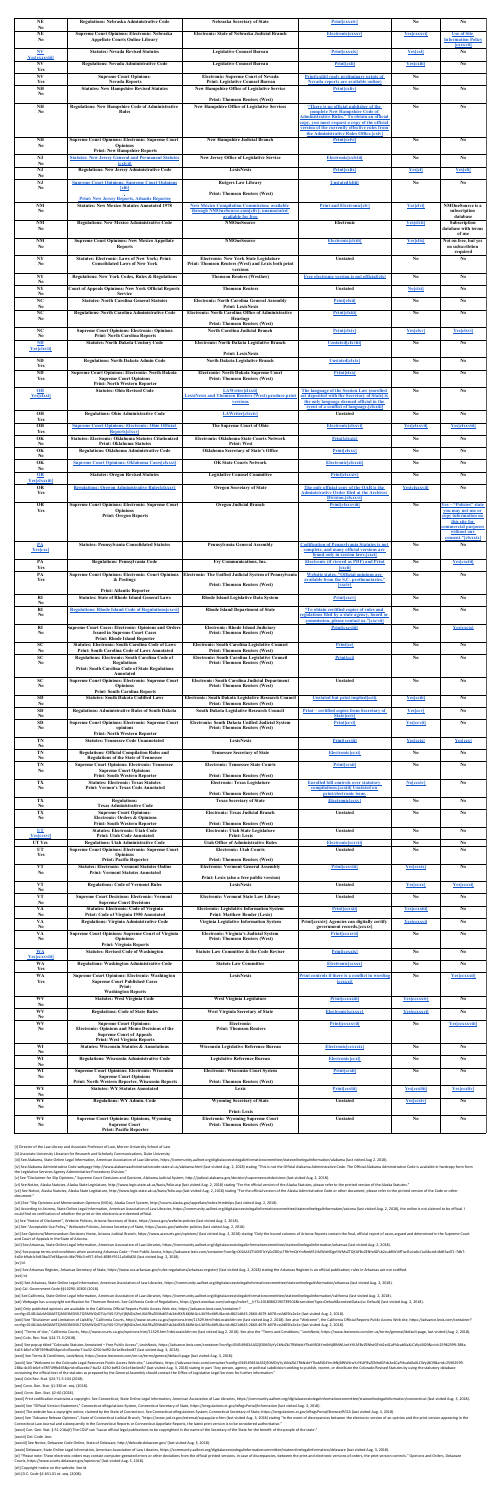| <b>NE</b><br>N <sub>0</sub>        | <b>Regulations: Nebraska Administrative Code</b>                                                    | <b>Nebraska Secretary of State</b>                                                                   | <b>Print [cxxxiv]</b>                                                                          | No                     | No                                                   |
|------------------------------------|-----------------------------------------------------------------------------------------------------|------------------------------------------------------------------------------------------------------|------------------------------------------------------------------------------------------------|------------------------|------------------------------------------------------|
| <b>NE</b>                          | <b>Supreme Court Opinions: Electronic: Nebraska</b>                                                 | <b>Electronic: State of Nebraska Judicial Branch</b>                                                 | <b>Electronic [CXXXV]</b>                                                                      | Yes[cxxxvi]            | <b>Use of Site</b>                                   |
| N <sub>0</sub>                     | <b>Appellate Courts Online Library</b>                                                              |                                                                                                      |                                                                                                |                        | <b>Information Policy</b><br><i><b>[CXXXVII]</b></i> |
| <b>NV</b><br><b>Yes[cxxxviii]</b>  | <b>Statutes: Nevada Revised Statutes</b>                                                            | <b>Legislative Counsel Bureau</b>                                                                    | <b>Print[cxxxix]</b>                                                                           | <b>Yes[cx]</b>         | N <sub>0</sub>                                       |
| <b>NV</b>                          | <b>Regulations: Nevada Administrative Code</b>                                                      | <b>Legislative Counsel Bureau</b>                                                                    | <b>Print[cxli]</b>                                                                             | <b>Yes[cxlii]</b>      | N <sub>0</sub>                                       |
| Yes<br><b>NV</b>                   | <b>Supreme Court Opinions:</b>                                                                      | <b>Electronic: Supreme Court of Nevada</b>                                                           | <b>Print [exliii] (only preliminary prints of</b>                                              | N <sub>0</sub>         |                                                      |
| Yes<br><b>NH</b>                   | <b>Nevada Reports</b><br><b>Statutes: New Hampshire Revised Statutes</b>                            | <b>Print: Legislative Counsel Bureau</b><br><b>New Hampshire Office of Legislative Service</b>       | <b>Nevada reports are available online</b><br><b>Print[cxliv]</b>                              | N <sub>0</sub>         | N <sub>0</sub>                                       |
| N <sub>0</sub>                     |                                                                                                     | <b>Print: Thomson Reuters (West)</b>                                                                 |                                                                                                |                        |                                                      |
| <b>NH</b>                          | <b>Regulations: New Hampshire Code of Administrative</b>                                            | <b>New Hampshire Office of Legislative Services</b>                                                  | "There is no official publisher of the                                                         | No                     | N <sub>0</sub>                                       |
| N <sub>0</sub>                     | <b>Rules</b>                                                                                        |                                                                                                      | complete New Hampshire Code of<br><b>Administrative Rules." To obtain an official</b>          |                        |                                                      |
|                                    |                                                                                                     |                                                                                                      | copy, you must request a copy of the official<br>version of the currently effective rules from |                        |                                                      |
|                                    |                                                                                                     |                                                                                                      | the Administrative Rules Office. [cxlv]                                                        |                        |                                                      |
| <b>NH</b><br>N <sub>0</sub>        | <b>Supreme Court Opinions: Electronic: Supreme Court</b><br><b>Opinions</b>                         | <b>New Hampshire Judicial Branch</b>                                                                 | <b>Print[cxlvi]</b>                                                                            | No                     | No                                                   |
| <b>NJ</b>                          | <b>Print: New Hampshire Reports</b><br><b>Statutes: New Jersey General and Permanent Statutes</b>   | <b>New Jersey Office of Legislative Service</b>                                                      | <b>Electronic[cxlviii]</b>                                                                     | N <sub>o</sub>         | N <sub>o</sub>                                       |
| N <sub>0</sub>                     | <i>[cxlvii]</i>                                                                                     |                                                                                                      |                                                                                                |                        |                                                      |
| <b>NJ</b><br>N <sub>0</sub>        | <b>Regulations: New Jersey Administrative Code</b>                                                  | <b>LexisNexis</b>                                                                                    | <b>Print[cxlix]</b>                                                                            | <b>Yes[cl]</b>         | <b>Yes[cli]</b>                                      |
| <b>NJ</b><br>N <sub>0</sub>        | <b>Supreme Court Opinions: Supreme Court Opinions</b><br><b>[clii]</b>                              | <b>Rutgers Law Library</b>                                                                           | <b>Unstated cliii</b>                                                                          | N <sub>0</sub>         | N <sub>0</sub>                                       |
|                                    | <b>Print: New Jersey Reports, Atlantic Reporter</b>                                                 | <b>Print: Thomson Reuters (West)</b>                                                                 |                                                                                                |                        |                                                      |
| <b>NM</b>                          | <b>Statutes: New Mexico Statutes Annotated 1978</b>                                                 | <b>New Mexico Compilation Commission; available</b>                                                  | <b>Print and Electronic clv]</b>                                                               | <b>Yes[clvi]</b>       | <b>NMOneSource is a</b>                              |
| N <sub>0</sub>                     |                                                                                                     | through NMOneSource.com [cliv]; unannotated<br><b>available for free</b>                             |                                                                                                |                        | subscription<br>database                             |
| <b>NM</b><br>N <sub>0</sub>        | <b>Regulations: New Mexico Administrative Code</b>                                                  | <b>NMOneSource</b>                                                                                   | Electronic                                                                                     | <b>Yes[clvii]</b>      | <b>Subscription</b><br>database with terms           |
| NM                                 | <b>Supreme Court Opinions: New Mexico Appellate</b>                                                 | <b>NMOneSource</b>                                                                                   | <b>Electronic[clviii]</b>                                                                      | <b>Yes[clix]</b>       | of use<br>Not on free, but yes                       |
| N <sub>0</sub>                     | <b>Reports</b>                                                                                      |                                                                                                      |                                                                                                |                        | on subscribtion                                      |
| <b>NY</b>                          | <b>Statutes: Electronic: Laws of New York; Print:</b>                                               | <b>Electronic: New York State Legislature</b>                                                        | <b>Unstated</b>                                                                                | No                     | required<br>N <sub>0</sub>                           |
| N <sub>o</sub>                     | <b>Consolidated Laws of New York</b>                                                                | <b>Print: Thomson Reuters (West) and Lexis both print</b><br>versions                                |                                                                                                |                        |                                                      |
| <b>NY</b><br>N <sub>0</sub>        | <b>Regulations: New York Codes, Rules &amp; Regulations</b>                                         | <b>Thomson Reuters (Westlaw)</b>                                                                     | <b>Free electronic version is not official [clx]</b>                                           | N <sub>0</sub>         | N <sub>0</sub>                                       |
| <b>NY</b>                          | <b>Court of Appeals Opinions: New York Official Reports</b>                                         | <b>Thomson Reuters</b>                                                                               | <b>Unstated</b>                                                                                | <b>No[clxi]</b>        | N <sub>0</sub>                                       |
| N <sub>0</sub><br>NC               | <b>Service</b><br><b>Statutes: North Carolina General Statutes</b>                                  | <b>Electronic: North Carolina General Assembly</b>                                                   | <b>Print[clxii]</b>                                                                            | N <sub>0</sub>         | N <sub>0</sub>                                       |
| N <sub>0</sub><br>NC               | <b>Regulations: North Carolina Administrative Code</b>                                              | <b>Print: LexisNexis</b><br><b>Electronic: North Carolina Office of Administrative</b>               | <b>Print[clxiii]</b>                                                                           | N <sub>0</sub>         | N <sub>0</sub>                                       |
| N <sub>0</sub>                     |                                                                                                     | <b>Hearings</b><br><b>Print: Thomson Reuters (West)</b>                                              |                                                                                                |                        |                                                      |
| NC                                 | <b>Supreme Court Opinions: Electronic: Opinions</b>                                                 | <b>North Carolina Judicial Branch</b>                                                                | <b>Print[clxiv]</b>                                                                            | <b>Yes[clxv]</b>       | <b>Yes[clxvi]</b>                                    |
| N <sub>0</sub><br>$\mathbf{M}$     | <b>Print: North Carolina Reports</b><br><b>Statutes: North Dakota Century Code</b>                  | <b>Electronic: North Dakota Legislative Branch</b>                                                   | <b>Unstated[clxviii]</b>                                                                       | N <sub>o</sub>         | N <sub>0</sub>                                       |
| <b>Yes[clxvii]</b>                 |                                                                                                     | <b>Print: LexisNexis</b>                                                                             |                                                                                                |                        |                                                      |
| <b>ND</b>                          | <b>Regulations: North Dakota Admin Code</b>                                                         | <b>North Dakota Legislative Branch</b>                                                               | <b>Unstated[clxix]</b>                                                                         | N <sub>o</sub>         | N <sub>0</sub>                                       |
| Yes<br><b>ND</b>                   | <b>Supreme Court Opinions: Electronic: North Dakota</b>                                             | <b>Electronic: North Dakota Supreme Court</b>                                                        | <b>Print[clxx]</b>                                                                             | N <sub>o</sub>         | No                                                   |
| Yes                                | <b>Supreme Court Opinions</b><br><b>Print: North Western Reporter</b>                               | <b>Print: Thomson Reuters (West)</b>                                                                 |                                                                                                |                        |                                                      |
| OH                                 | <b>Statutes: Ohio Revised Code</b>                                                                  | <b>LAWriter[clxxii]</b>                                                                              | The language of the Session Law (enrolled                                                      | $\bf No$               | N <sub>0</sub>                                       |
| <u>Yes[clxxi]</u>                  |                                                                                                     | <b>LexisNexis and Thomson Reuters (West) produce print</b><br><b>versions</b>                        | act deposited with the Secretary of State) is<br>the only language deemed official in the      |                        |                                                      |
| <b>OH</b>                          | <b>Regulations: Ohio Administrative Code</b>                                                        | LAWriter[clxxiv]                                                                                     | event of a conflict of language. [clxxiii]<br><b>Unstated</b>                                  | N <sub>o</sub>         | N <sub>0</sub>                                       |
| <b>Yes</b>                         |                                                                                                     |                                                                                                      |                                                                                                |                        |                                                      |
| <b>OH</b><br>Yes                   | <b>Supreme Court Opinions: Electronic: Ohio Official</b><br><b>Reports[clxxv]</b>                   | <b>The Supreme Court of Ohio</b>                                                                     | <b>Electronic[clxxvi]</b>                                                                      | <b>Yes[clxxvii]</b>    | <b>Yes[clxxviii]</b>                                 |
| OK<br>N <sub>0</sub>               | <b>Statutes: Electronic: Oklahoma Statutes Citationized</b><br><b>Print: Oklahoma Statutes</b>      | <b>Electronic: Oklahoma State Courts Network</b><br><b>Print: West</b>                               | <b>Print[clxxix]</b>                                                                           | N <sub>o</sub>         | N <sub>0</sub>                                       |
| OK                                 | <b>Regulations: Oklahoma Administrative Code</b>                                                    | <b>Oklahoma Secretary of State's Office</b>                                                          | <b>Print[clxxx]</b>                                                                            | N <sub>o</sub>         | No                                                   |
| N <sub>0</sub><br>OK               | <b>Supreme Court Opinions: Oklahoma Cases[clxxxi]</b>                                               | <b>OK State Courts Network</b>                                                                       | Electronic [clxxxii]                                                                           | N <sub>o</sub>         | N <sub>0</sub>                                       |
| N <sub>0</sub><br>OR               | <b>Statutes: Oregon Revised Statutes</b>                                                            | <b>Legislative Counsel Committee</b>                                                                 | <b>Print[clxxxiv]</b>                                                                          | N <sub>o</sub>         | N <sub>0</sub>                                       |
| <b>Yes[clxxxiii]</b>               |                                                                                                     |                                                                                                      |                                                                                                |                        |                                                      |
| <b>OR</b><br>Yes                   | <b>Regulations: Oregon Administrative Rules [clxxxv]</b>                                            | <b>Oregon Secretary of State</b>                                                                     | The only official copy of the OAR is the<br><b>Administrative Order filed at the Archives</b>  | <b>Yes[clxxxvii]</b>   | N <sub>0</sub>                                       |
| <b>OR</b>                          | <b>Supreme Court Opinions: Electronic: Supreme Court</b>                                            | <b>Oregon Judicial Branch</b>                                                                        | Division. [clxxxvi]<br><b>Print[clxxxviii]</b>                                                 | N <sub>0</sub>         | <u>Yes – "Policies" state</u>                        |
| Yes                                | <b>Opinions</b><br><b>Print: Oregon Reports</b>                                                     |                                                                                                      |                                                                                                |                        | <b>you may not use or</b><br>copy information on     |
|                                    |                                                                                                     |                                                                                                      |                                                                                                |                        | this site for                                        |
|                                    |                                                                                                     |                                                                                                      |                                                                                                |                        | commercial purposes<br>without our                   |
| $\mathbf{PA}$                      | <b>Statutes: Pennsylvania Consolidated Statutes</b>                                                 | <b>Pennsylvania General Assembly</b>                                                                 | <b>Codification of Pennsylvania Statutes is not</b>                                            | N <sub>0</sub>         | consent."[clxxxix]<br>N <sub>0</sub>                 |
| <b>Yes[cxc]</b>                    |                                                                                                     |                                                                                                      | complete, and many official versions are<br>found only in session laws.[cxci]                  |                        |                                                      |
| PA                                 | <b>Regulations: Pennsylvania Code</b>                                                               | Fry Communications, Inc.                                                                             | <b>Electronic (if viewed as PDF) and Print</b>                                                 | No                     | <b>Yes</b> cxciii                                    |
| Yes<br>PA                          | <b>Supreme Court Opinions: Electronic: Court Opinions</b>                                           | <b>Electronic: The Unified Judicial System of Pennsylvania</b>                                       | <u>[cxcii]</u><br><b>Website states, "Official opinions are</b>                                | No                     | N <sub>0</sub>                                       |
| <b>Yes</b>                         | & Postings                                                                                          | <b>Print: Thomson Reuters (West)</b>                                                                 | available from the S.C. prothonotaries."<br><b>CXCIV</b>                                       |                        |                                                      |
|                                    | <b>Print: Atlantic Reporter</b>                                                                     |                                                                                                      |                                                                                                |                        |                                                      |
| RI<br>N <sub>0</sub>               | <b>Statutes: State of Rhode Island General Laws</b>                                                 | <b>Rhode Island Legislative Data System</b>                                                          | <b>Print [excv]</b>                                                                            | N <sub>o</sub>         | N <sub>o</sub>                                       |
| RI<br>N <sub>0</sub>               | <b>Regulations: Rhode Island Code of Regulations [cxcvi]</b>                                        | <b>Rhode Island Department of State</b>                                                              | "To obtain certified copies of rules and<br>regulations filed by a state agency, board or      | N <sub>0</sub>         | N <sub>0</sub>                                       |
|                                    |                                                                                                     |                                                                                                      | commission, please contact us."[cxcvii]                                                        |                        |                                                      |
| RI<br>N <sub>0</sub>               | <b>Supreme Court Cases: Electronic: Opinions and Orders</b><br><b>Issued in Supreme Court Cases</b> | <b>Electronic: Rhode Island Judiciary</b><br><b>Print: Thomson Reuters (West)</b>                    | <b>Print [cxcviii]</b>                                                                         | No                     | <b>Yes[cxcix]</b>                                    |
| <b>SC</b>                          | <b>Print: Rhode Island Reporter</b><br><b>Statutes: Electronic: South Carolina Code of Laws</b>     | <b>Electronic: South Carolina Legislative Counsel</b>                                                | <b>Print[cc]</b>                                                                               | $\mathbf{N}\mathbf{0}$ | N <sub>0</sub>                                       |
| N <sub>0</sub>                     | <b>Print: South Carolina Code of Laws Annotated</b>                                                 | <b>Print: Thomson Reuters (West)</b>                                                                 |                                                                                                |                        |                                                      |
| <b>SC</b><br>N <sub>o</sub>        | <b>Regulations: Electronic: South Carolina Code of</b><br><b>Regulations</b>                        | <b>Electronic: South Carolina Legislative Council</b><br><b>Print: Thomson Reuters (West)</b>        | <b>Print[cci]</b>                                                                              | No                     | $\mathbf{N}\mathbf{0}$                               |
|                                    | <b>Print: South Carolina Code of State Regulations</b><br>Annotated                                 |                                                                                                      |                                                                                                |                        |                                                      |
| <b>SC</b><br>N <sub>0</sub>        | <b>Supreme Court Opinions: Electronic: Supreme Court</b><br><b>Opinions</b>                         | <b>Electronic: South Carolina Judicial Department</b><br><b>Print: Thomson Reuters (West)</b>        | <b>Unstated</b>                                                                                | N <sub>o</sub>         | N <sub>0</sub>                                       |
|                                    | <b>Print: South Carolina Reports</b>                                                                |                                                                                                      |                                                                                                |                        |                                                      |
| <b>SD</b><br>N <sub>0</sub>        | <b>Statutes: South Dakota Codified Laws</b>                                                         | <b>Electronic: South Dakota Legislative Research Council</b><br><b>Print: Thomson Reuters (West)</b> | <b>Unstated but print implied [ccii]</b>                                                       | <b>Yes[cciii]</b>      | N <sub>0</sub>                                       |
| <b>SD</b><br>N <sub>0</sub>        | <b>Regulations: Administrative Rules of South Dakota</b>                                            | <b>South Dakota Legislative Research Council</b>                                                     | <u>Print – certified copies from Secretary of</u><br><b>State cciv</b>                         | <b>Yes[ccv]</b>        | N <sub>0</sub>                                       |
| <b>SD</b>                          | <b>Supreme Court Opinions: Electronic: Supreme Court</b>                                            | <b>Electronic: South Dakota Unified Judicial System</b>                                              | <b>Print[ccvi]</b>                                                                             | <b>Yes[ccvii]</b>      | N <sub>0</sub>                                       |
| N <sub>0</sub>                     | opinions<br><b>Print: North Western Reporter</b>                                                    | <b>Print: Thomson Reuters (West)</b>                                                                 |                                                                                                |                        |                                                      |
| <b>TN</b><br>N <sub>0</sub>        | <b>Statutes: Tennessee Code Unannotated</b>                                                         | <b>LexisNexis</b>                                                                                    | <b>Print[ccviii]</b>                                                                           | <b>Yes[ccix]</b>       | Yes[ccx]                                             |
| <b>TN</b><br>N <sub>0</sub>        | <b>Regulations: Official Compilation Rules and</b><br><b>Regulations of the State of Tennessee</b>  | <b>Tennessee Secretary of State</b>                                                                  | <b>Electronic [ccxi]</b>                                                                       | N <sub>0</sub>         | N <sub>0</sub>                                       |
| <b>TN</b>                          | <b>Supreme Court Opinions: Electronic: Tennessee</b>                                                | <b>Electronic: Tennessee State Courts</b>                                                            | <b>Print[ccxii]</b>                                                                            | N <sub>o</sub>         | No                                                   |
| N <sub>0</sub>                     | <b>Supreme Court Opinions</b><br><b>Print: South Western Reporter</b>                               | <b>Print: Thomson Reuters (West)</b>                                                                 |                                                                                                |                        |                                                      |
| <b>TX</b><br>N <sub>0</sub>        | <b>Statutes: Electronic: Texas Statutes</b><br><b>Print: Vernon's Texas Code Annotated</b>          | <b>Electronic: Texas Legislature</b>                                                                 | <b>Enrolled bill controls over statutory</b><br>compilations. [ccxiii] Unstated on             | <b>No[ccxiv]</b>       | N <sub>0</sub>                                       |
| <b>TX</b>                          | <b>Regulations:</b>                                                                                 | <b>Print: Thomson Reuters (West)</b><br><b>Texas Secretary of State</b>                              | print/electronic issue.<br><b>Electronic ccxvl</b>                                             | N <sub>o</sub>         | N <sub>0</sub>                                       |
| N <sub>0</sub>                     | <b>Texas Administrative Code</b>                                                                    |                                                                                                      |                                                                                                |                        |                                                      |
| <b>TX</b><br>N <sub>0</sub>        | <b>Supreme Court Opinions:</b><br><b>Electronic: Orders &amp; Opinions</b>                          | <b>Electronic: Texas Judicial Branch</b>                                                             | <b>Unstated</b>                                                                                | No                     | $\mathbf{N}\mathbf{0}$                               |
| UT                                 | <b>Print: South Western Reporter</b><br><b>Statutes: Electronic: Utah Code</b>                      | <b>Print: Thomson Reuters (West)</b><br><b>Electronic: Utah State Legislature</b>                    | <b>Unstated</b>                                                                                | No                     | N <sub>0</sub>                                       |
| <b>Yes[ccxvi]</b><br><b>UT Yes</b> | <b>Print: Utah Code Annotated</b><br><b>Regulations: Utah Administrative Code</b>                   | <b>Print: Lexis</b><br><b>Utah Office of Administrative Rules</b>                                    | <b>Electronic [ccxvii]</b>                                                                     | $\bf No$               | $\bf No$                                             |
| <b>UT</b>                          | <b>Supreme Court Opinions: Electronic: Supreme Court</b>                                            | <b>Electronic: Utah Courts</b>                                                                       | <b>Unstated</b>                                                                                | N <sub>0</sub>         | N <sub>0</sub>                                       |
| <b>Yes</b>                         | <b>Opinions</b><br><b>Print: Pacific Reporter</b>                                                   | <b>Print: Thomson Reuters (West)</b>                                                                 |                                                                                                |                        |                                                      |
| <b>VT</b><br>N <sub>0</sub>        | <b>Statutes: Electronic: Vermont Statutes Online</b><br><b>Print: Vermont Statutes Annotated</b>    | <b>Electronic: Vermont General Assembly</b>                                                          | <b>Print [ccxviii]</b>                                                                         | <b>Yes[ccxix]</b>      | No                                                   |
|                                    |                                                                                                     | Print: Lexis (also a free public version)                                                            |                                                                                                |                        |                                                      |
| <b>VT</b><br>N <sub>0</sub>        | <b>Regulations: Code of Vermont Rules</b>                                                           | <b>LexisNexis</b>                                                                                    | <b>Unstated</b>                                                                                | <b>Yes[ccxx]</b>       | <b>Yes</b> ccxxi                                     |
| <b>VT</b><br>N <sub>0</sub>        | <b>Supreme Court Decisions: Electronic: Vermont</b><br><b>Supreme Court Decisions</b>               | <b>Electronic: Vermont State Law Library</b>                                                         | <b>Unstated</b>                                                                                | N <sub>0</sub>         | N <sub>0</sub>                                       |
| <b>VA</b><br>No                    | <b>Statutes: Electronic: Code of Virginia</b><br><b>Print: Code of Virginia 1950 Annotated</b>      | <b>Electronic: Legislative Information System</b><br><b>Print: Matthew Bender (Lexis)</b>            | <b>Print [ccxxii]</b>                                                                          | <b>Yes[ccxxiii]</b>    | N <sub>0</sub>                                       |
| <b>VA</b>                          | <b>Regulations: Virginia Administrative Code</b>                                                    | <b>Virginia Legislative Information System</b>                                                       | Print [ccxxiv] Agencies can digitally certify                                                  | <b>Yes[ccxxvi]</b>     | N <sub>0</sub>                                       |
| N <sub>0</sub><br><b>VA</b>        | <b>Supreme Court Opinions: Supreme Court of Virginia</b>                                            | <b>Electronic: Virginia's Judicial System</b>                                                        | government records. [ccxxv]<br><b>Print [ccxxvii]</b>                                          | N <sub>0</sub>         | N <sub>0</sub>                                       |
| N <sub>0</sub>                     | <b>Opinions</b><br><b>Print: Virginia Reports</b>                                                   | <b>Print: Thomson Reuters (West)</b>                                                                 |                                                                                                |                        |                                                      |
| <b>WA</b>                          | <b>Statutes: Revised Code of Washington</b>                                                         | <b>Statute Law Committee &amp; the Code Reviser</b>                                                  | <b>Print[cexxix]</b>                                                                           | No                     | N <sub>0</sub>                                       |
| <b>Yes[ccxxviii]</b><br><b>WA</b>  | <b>Regulations: Washington Administrative Code</b>                                                  | <b>Statute Law Committee</b>                                                                         | <b>Electronic cxxx</b>                                                                         | No                     | $\mathbf{N}\mathbf{0}$                               |
| Yes<br><b>WA</b>                   | <b>Supreme Court Opinions: Electronic: Washington</b>                                               | <b>LexisNexis</b>                                                                                    | Print controls if there is a conflict in wording                                               | N <sub>0</sub>         | <b>Yes[ccxxxii]</b>                                  |
| Yes                                | <b>Supreme Court Published Cases</b><br>Print:                                                      |                                                                                                      | <b>CCXXXI</b>                                                                                  |                        |                                                      |
|                                    | <b>Washington Reports</b>                                                                           |                                                                                                      |                                                                                                |                        |                                                      |
| <b>WV</b><br>N <sub>0</sub>        | <b>Statutes: West Virginia Code</b>                                                                 | <b>West Virginia Legislature</b>                                                                     | <b>Print [ccxxxiii]</b>                                                                        | <b>Yes[ccxxxiv]</b>    | N <sub>0</sub>                                       |
| <b>WV</b><br>N <sub>0</sub>        | <b>Regulations: Code of State Rules</b>                                                             | <b>West Virginia Secretary of State</b>                                                              | <b>Electronic [ccxxxv]</b>                                                                     | <b>Yes[ccxxxvi]</b>    | N <sub>0</sub>                                       |
| <b>WV</b>                          | <b>Supreme Court Opinions:</b>                                                                      | <b>Electronic:</b>                                                                                   | <b>Print [ccxxxvii]</b>                                                                        | No                     | <b>Yes[ccxxxviii]</b>                                |
| N <sub>0</sub>                     | <b>Electronic: Opinions and Memo Decisions of the</b><br><b>Supreme Court of Appeals</b>            | <b>Print: Thomson Reuters</b>                                                                        |                                                                                                |                        |                                                      |
| <b>WI</b>                          | <b>Print: West Virginia Reports</b><br><b>Statutes: Wisconsin Statutes &amp; Annotations</b>        | <b>Wisconsin Legislative Reference Bureau</b>                                                        | <b>Electronic [ccxxxix]</b>                                                                    | N <sub>0</sub>         | No                                                   |
| N <sub>0</sub>                     |                                                                                                     |                                                                                                      |                                                                                                |                        |                                                      |
| <b>WI</b><br>N <sub>0</sub>        | <b>Regulations: Wisconsin Administrative Code</b>                                                   | <b>Legislative Reference Bureau</b>                                                                  | <b>Electronic [ccxl]</b>                                                                       | N <sub>0</sub>         | N <sub>0</sub>                                       |
| <b>WI</b><br>N <sub>0</sub>        | <b>Supreme Court Opinions: Electronic: Wisconsin</b><br><b>Supreme Court Opinions</b>               | <b>Electronic: Wisconsin Court System</b>                                                            | <b>Print[ccxli]</b>                                                                            | N <sub>0</sub>         | N <sub>0</sub>                                       |
|                                    | <b>Print: North Western Reporter, Wisconsin Reports</b>                                             | <b>Print: Thomson Reuters (West)</b>                                                                 |                                                                                                |                        |                                                      |
| <b>WY</b><br>N <sub>0</sub>        | <b>Statutes: WY Statutes Annotated</b>                                                              | Lexis                                                                                                | <b>Print[ccxlii]</b>                                                                           | <b>Yes[ccxliii]</b>    | <b>Yes[ccxliv]</b>                                   |
| <b>WY</b><br>N <sub>0</sub>        | <b>Regulations: WY Admin. Code</b>                                                                  | <b>Wyoming Secretary of State</b>                                                                    | <b>Unstated</b>                                                                                | <b>Yes[ccxlv]</b>      | N <sub>0</sub>                                       |
|                                    |                                                                                                     | <b>Print: Lexis</b>                                                                                  |                                                                                                |                        |                                                      |
| <b>WY</b><br>N <sub>0</sub>        | <b>Supreme Court Opinions: Opinions, Wyoming</b><br><b>Supreme Court</b>                            | <b>Electronic: Wyoming Supreme Court</b><br><b>Print: Thomson Reuters (West)</b>                     | <b>Unstated</b>                                                                                | N <sub>0</sub>         | N <sub>0</sub>                                       |

[iv] See Alabama Administrative Code webpage http://www.alabamaadministrativecode.state.al.us/alabama.html (last visited Aug. 2, 2018) stating "This is not the Official Alabama Administrative Code. The Official Alabama Adm the Legislative Services Agency Administrative Procedures Division."

[vii] See Notice, Alaska Statutes, Alaska State Legislature, http://www.legis.state.ak.us/basis/folio.asp (last visited Aug. 2, 2018) stating "For the official version of the Alaska Administrative Code or other document, p document."

[ix] According to Arizona, State Online Legal Information, American Association of Law Libraries, https://community.aallnet.org/digitalaccesstolegalinformationcommittee/stateonlinelegalinformation/arizona (last visited Aug could find no verification of whether the print or the electronic are deemed official.

[xii] See Opinions/Memorandum Decisions Home, Arizona Judicial Branch, https://www.azcourts.gov/opinions/ (last visited Aug. 2, 2018) stating "Only the bound volumes of Arizona Reports contain the final, official report of and Court of Appeals in the State of Arizona.

[xiii] See Arkansas, State Online Legal Information, American Association of Law Libraries, https://community.aallnet.org/digitalaccesstolegalinformationcommittee/stateonlinelegalinformation/arkansas (last visited Aug. 2,

[xiv] See popup terms and conditions when accessing Arkansas Code - Free Public Access, https://advance.lexis.com/container?config=00JAA3ZTU0NTIzYy0zZDEyLTRhYmQtYmRmMS1iMWIxNDgxYWMxZTQKAFBvZENhdGFsb2cubRW4ifTiwi5vLw6cl1uX& 4c0b-b9ab-b3d43ba37ef3&prid=46e796c3-ef57-49c6-808f-f9111a5d0d26 (last visited Aug. 2, 2018).

[xvi] See Arkansas Register, Arkansas Secretary of State, https://www.sos.arkansas.gov/rules-regulations/arkansas-register/ (last visited Aug. 2, 2018) stating the Arkansas Register is an official publication; rules in Ark [xvii] Id.

[xviii] See Arkansas, State Online Legal Information, American Association of Law Libraries, https://community.aallnet.org/digitalaccesstolegalinformationcommittee/stateonlinelegalinformation/arkansas (last visited Aug. 2, [xix] Cal. Government Code §§10290-10300 (2018).

[xx] See California, State Online Legal Information, American Association of Law Libraries, https://community.aallnet.org/digitalaccesstolegalinformationcommittee/stateonlinelegalinformation/california (last visited Aug. 2

[xxi] Webpage has a copyright notification for Thomson Reuters. See California Code of Regulations, https://govt.westlaw.com/calregs/index? IrTS=20180802190739502&transitionType=Default&contextData=(sc.Default) (last visit

[xxiii] See "Disclaimer and Limitation of Liability," California Courts, http://www.courts.ca.gov/opinions.htm/11529.htm?rdeLocaleAttr=en (last visited Aug 2. 2018). See also "Welcome", the California Official Reports Publ config=014DJAAzMGJkMTZjMi03MDVlLTQ5MWQtOTUyYi01Y2YyYjBjN2IzZmUKAFBvZENhdGFsb2dd3XfL66WtUcULK93oXtRU&crid=8621d645-2660-4679-b078-ce2d05fa2e1e (last visited Aug. 2, 2018).

[xxiv] "Terms of Use," California Courts, http://www.courts.ca.gov/opinions.htm/11529.htm?rdeLocaleAttr=en (last visited Aug 2. 2018). See also the "Terms and Conditions," LexisNexis, https://www.lexisnexis.com/en-us/terms [xxv] Colo. Rev. Stat. §24-71.5 (2018).

[xxvi] See popup titled "Colorado Statutes Annotated - Free Public Access", LexisNexis, https://advance.lexis.com/container?config=0345494EJAA5ZjE0MDIyYy1kNzZkLTRkNzktYTkxMS04YmJhNjBlNWUwYzYKAFBvZENhdGFsb2e4CaPI4cak6laXLCW 4c03-b6cf-e78f749fb465&prid=d5acebc7-ba32-4250-bd92-0e1e3be4ec87 (last visited Aug. 3, 2018).

[xxviii] See "Welcome to the Colorado Legal Resources Public Access Web site," LexisNexis, https://advance.lexis.com/container?config=0345494EJAA5ZjE0MDIyYy1kNzZkLTRkNzktYTkxMS04YmJhNjBlNWUwYzYKAFBvZENhdGFsb2e4CaPI4cak6laX 288a-4c03-b6cf-e78f749fb465&prid=d5acebc7-ba32-4250-bd92-0e1e3be4ec87 (last visited Aug. 3, 2018) stating in part "Any person, agency, or political subdivision seeking to publish, reprint, or distribute the Colorado Revise containing the official text of the statutes as prepared by the General Assembly should contact the Office of Legislative Legal Services for further information."

[xxxii] Print codification maintains a copyright. See Connecticut, State Online Legal Information, American Association of Law Libraries, https://community.aallnet.org/digitalaccesstolegalinformationcommittee/stateonlinele [xxxiii] See "Official Version Statement," Connecticut eRegulations System, Connecticut Secretary of State, https://eregulations.ct.gov/eRegsPortal/Information (last visited Aug. 3, 2018).

[xxxiv] The website has a copyright notice, claimed by the State of Connecticut. See Connecticut eRegulations System, Connecticut Secretary of State, https://eregulations.ct.gov/eRegsPortal/Browse/RCSA (last visited Aug. 3

[xxxv] See "Advance Release Opinions", State of Connecticut Judicial Branch, "https://www.jud.ct.gov/external/supapp/aro.htm (last visited Aug. 3, 2018) stating "In the event of discrepancies between the electronic version Connecticut Law Journal and subsequently in the Connecticut Reports or Connecticut Appellate Reports, the latest print version is to be considered authoritative."

[xxxvi] Con. Gen. Stat. § 51-216a(f) The COLP can "cause official legal publications to be copyrighted in the name of the Secretary of the State for the benefit of the people of the state."

[xl] "Please note: These electronic orders may contain computer-geerated errors or other deviations from the official printed versions. In case of discrepancies, between the print and electronic versions of orders, the pri Courts, https://www.courts.delaware.gov/opinions/ (last visited Aug. 3, 2018).

| $\sim$ $\sim$ $\sim$ $\sim$ $\sim$ $\sim$ $\sim$ $\sim$ | , , <b>.</b> . |  |
|---------------------------------------------------------|----------------|--|
| <b>Print: Pacific Reporter</b>                          |                |  |
|                                                         |                |  |

[i] Director of the Law Library and Associate Professor of Law, Mercer University School of Law

[ii] Associate University Librarian for Research and Scholarly Communications, Duke University

[iii] See Alabama, State Online Legal Information, American Association of Law Libraries, https://community.aallnet.org/digitalaccesstolegalinformationcommittee/stateonlinelegalinformation/alabama (last visited Aug 2. 2018).

[v] See "Disclaimer for Slip Opinions," Supreme Court Decisions and Opinions, Alabama Judicial System, http://judicial.alabama.gov/decision/supremecourtdecisions (last visited Aug. 2, 2018).

[vi] See Notice, Alaska Statutes, Alaska State Legislature, http://www.legis.state.ak.us/basis/folio.asp (last visited Aug. 2, 2018) stating "For the official version of the Alaska Statutes, please refer to the printed ver

[viii] See "Slip Opinions and Memorandum Opinions (MOJs), Alaska Court System, http://courts.alaska.gov/appellate/index.htm#slips (last visited Aug. 2, 2018).

[x] See "Notice of Disclaimer", Website Policies, Arizona Secretary of State, https://azsos.gov/website-policies (last visited Aug. 2, 2018).

[xi] See "Acceptable Use Policy," Webswite Policies, Arizona Secretary of State, https://azsos.gov/website-policies (last visited Aug. 2, 2018).

### [xv] Id.

[xxii] Only published opinions are available in the California Official Reports Public Access Web site, https://advance.lexis.com/container?

config=014DJAAzMGJkMTZjMi03MDVlLTQ5MWQtOTUyYi01Y2YyYjBjN2IzZmUKAFBvZENhdGFsb2dd3XfL66WtUcULK93oXtRU&crid=8621d645-2660-4679-b078-ce2d05fa2e1e (last visited Aug. 2, 2018).

[xxvii] See Terms & Conditions, LexisNexis, https://www.lexisnexis.com/en-us/terms/general/default.page (last visited Aug. 3, 2018).

[xxix] Colo Rev. Stat. §24-71.5-104 (2018).

[xxx] Conn. Gen. Stat. §1-330 et. seq. (2018).

[xxxi] Conn. Gen. Stat. §2-60 (2018).

[xxxvii] Del. Code. Ann.

[xxxviii] See Notice, Delaware Code Online, State of Delaware, http://delcode.delaware.gov/ (last visited Aug. 3, 2018).

[xxxix] Delaware, State Online Legal Information, American Association of Law Libraries, https://community.aallnet.org/digitalaccesstolegalinformationcommittee/stateonlinelegalinformation/delaware (last visited Aug. 3, 201

[xli] Copyright notice on the website. See id.

[xlii] D.C. Code §2-651.01 et. seq. (2008).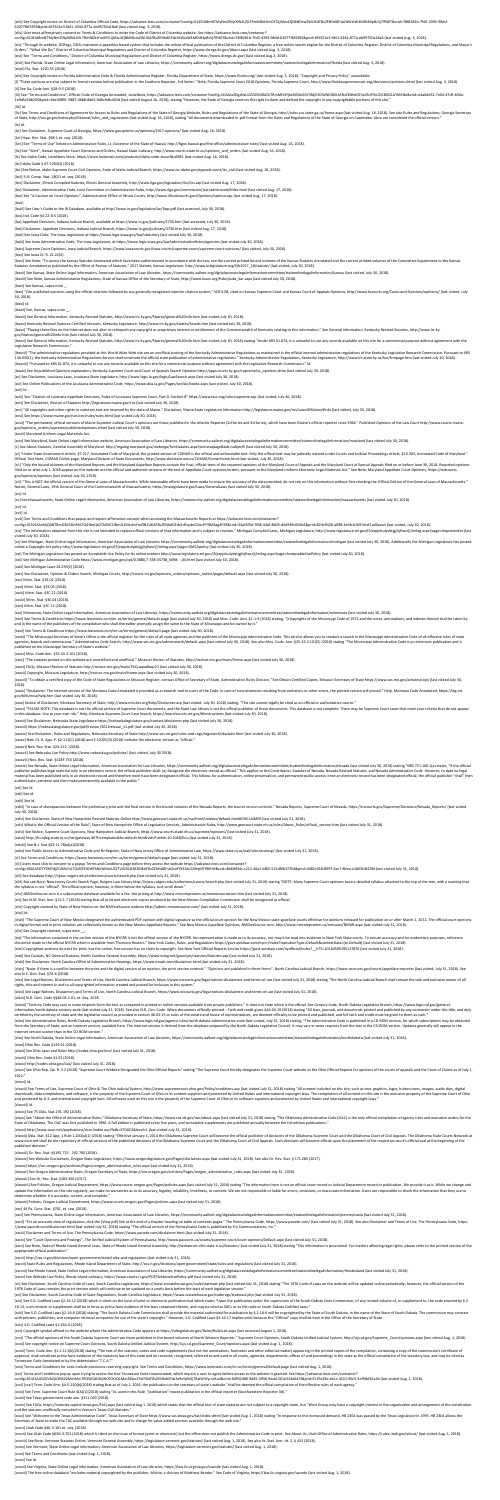[xliii] See Copyright notice on District of Columbia Official Code, https://advance.lexis.com/container?config=014FJABmNTMyNmZINy00N2U5LTRmNDktYmI0YS1jMzc4ZjNkNDcwZWUKAFBvZENhdGFsb2dWztW4MDtB3pBcSj7lPd0T&crid=78f8281b-7fd2 62077fbf3395&prid=6f3321e3-fd41-4344-877a-eb95750a18a6 (last visited Aug. 3, 2018).

[xliv] User most affirmatively consent to Terms & Conditions to enter the Code of District of Columbia website. See https://advance.lexis.com/container?

[xlv] "Through its website, DCRegs, ODAI maintains a paperless based system that includes the online official publication of the District of Columbia Register, a free online search engine for the District of Columbia Regis Orders." "What We Do," District of Columbia Municipal Regulations and District of Columbia Register, https://www.dcregs.dc.gov/About.aspx (last visited Aug. 3, 2018).

config=014FJABmNTMyNmZlNy00N2U5LTRmNDktYmI0YS1jMzc4ZjNkNDcwZWUKAFBvZENhdGFsb2dWztW4MDtB3pBcSj7lPd0T&crid=78f8281b-7fd2-4392-98dd-62077fbf3395&prid=6f3321e3-fd41-4344-877a-eb95750a18a6 (last visited Aug. 3, 2018).

[I] "These opinions are also subject to formal revision before publication in the Southern Reporter, 3rd Series." Note, Florida Supreme Court 2018 Opinions, Florida Supreme Court, http://www.floridasupremecourt.org/decisio [li] See Ga. Code Ann. §28-9-5 (2018).

[xlvi] See "Terms and Conditions," District of Columbia Municipal Regulations and District of Columbia Register, https://www.dcregs.dc.gov/ (last visited Aug.3, 2018).

[xlvii] See Florida, State Online Legal Information, American Association of Law Libraries, https://community.aallnet.org/digitalaccesstolegalinformationcommittee/stateonlinelegalinformation/florida (last visited Aug. 3, 2

[lii] See "Terms and Conditions", Official Code of Georgia Annotated, LexisNexis, https://advance.lexis.com/container?config=00JAAzZDgzNzU2ZC05MDA0LTRmMDItYjkzMS0xOGY3MjE3OWNIODIKAFBvZENhdGFsb2fcIFfJnJ2IC8XZi1AYM4Ne&crid=e 2e9d5c30b205&prid=4be40891-5887-46b8-8dd2-0d0cfe8c402d (last visited August 16, 2018), stating "However, the State of Georgia reserves the right to claim and defend the copyright in any copyrightable portions of this site."

[xlviii] Fla. Stat. §120.55 (2018)

[liv] See Terms and Conditions of Agreement for Access to Rules and Regulations of the State of Georgia Website, Rules and Regulations of the State of Georgia, http://rules.sos.state.ga.us/home.aspx (last visited Aug. 16, of State, http://sos.ga.gov/index.php/General/rules and regulations (last visited Aug. 16, 2018), stating "All documents downloaded in .pdf format from the Rules and Regulations of the State of Georgia on Casemaker Libra a [lv] Id.

[xlix] See Copyright notice on Florida Administrative Code & Florida Administrative Register, Florida Department of State, https://www.flrules.org/ (last visited Aug. 3, 2018); "Copyright and Privacy Policy" unavailable.

[liii] Id.

[lvi] See Disclaimer, Supreme Court of Georgia, https://www.gasupreme.us/opinions/2017-opinions/ (last visited Aug. 16, 2018).

[lvii] Haw. Rev. Stat. §98-1 et. seq. (2018).

[lxxx] "Cite published opinions using the official citations followed by any generally recognized reporter citation system," SCR 6.08, cited on Kansas Supreme Court and Kansas Court of Appeals Opinions, http://www.kscourts 30, 2018).

[lviii] See "Terms of Use" linked on Administrative Rules, Lt. Governor of the State of Hawaii, http://ltgov.hawaii.gov/the-office/administrative-rules/ (last visited Aug. 16, 2018).

[lix] See "Alert", Hawaii Appellate Court Opinions and Orders, Hawaii State Judiciary, http://www.courts.state.hi.us/opinions and orders (last visited Aug. 16, 2018).

[Ixxxv] "Placing these files on the Internet does not alter or relinquish any copyright or proprietary interest or entitlement of the Commonwealth of Kentucky relating to this information." See General Information, Kentuck gov/Statrev/general%20info.htm (last visited July 30, 2018).

[lx] See Idaho Code, LexisNexis Store, https://store.lexisnexis.com/products/idaho-code-skuusSku6981 (last visited Aug. 16, 2018).

[Ixxxvi] See General Information, Kentucky Revised Statutes, http://www.lrc.ky.gov/Statrev/general%20info.htm (last visited July 30, 2018) stating "Under KRS 61.874, it is unlawful to use any records available on this site Legislative Research Commission."

[Ixxxvii] "The administrative regulations provided at this World Wide Web site are an unofficial posting of the Kentucky Administrative Regulations as maintained in the official internal administrative regulations of the K 13A.050(1), the Kentucky Administrative Regulations Service shall constitute the official state publication of administrative regulations." Kentucky Administrative Regulations, Kentucky Legislature, http://www.lrc.state.ky

[lxi] Idaho Code § 67-5204(3) (2018).

[lxii] See Notice, Idaho Supreme Court Civil Opinions, State of Idaho Judicial Branch, https://www.isc.idaho.gov/appeals-court/isc\_civil (last visited Aug. 16, 2018).

[lxiii] 5 Ill. Comp. Stat. 180/1 et. seq. (2018).

[lxiv] Disclaimer, Illinois Compiled Statutes, Illinois General Assembly, http://www.ilga.gov/legislation/ilcs/ilcs.asp (last visited Aug. 17, 2018).

[lxv] Disclaimer, Administrative Code, Joint Committee on Administrative Rules, http://www.ilga.gov/commission/jcar/admincode/titles.html (last visited Aug. 17, 2018).

[lxvi] See "A Caution on Court Opinions", Administrative Office of Illinois Courts, http://www.illinoiscourts.gov/Opinions/caution.asp (last visited Aug. 17, 2018).

[lxvii]

[lxviii] See User's Guide to the IR Database, available at http://www.in.gov/legislative/iac/faqs.pdf (last accessed, July 30, 2018).

[lxix] Ind. Code §4-22-8-5 (2018).

[lxx] Appellate Decisions, Indiana Judicial Branch, available at https://www.in.gov/judiciary/2730.htm (last accessed, July 30, 2018).

[xcvii] "The permanent, official versions of Maine Supreme Judicial Court's opinions are those published in the Atlantic Reporter (2d Series and 3d Series), which have been Maine's official reporter since 1966." Published gov/opinions\_orders/supreme/publishedopinions.shtml (last visited July 30, 2018).

[lxxi] Disclaimer, Appellate Decisions, Indiana Judicial Branch, https://www.in.gov/judiciary/2730.htm (last visited Aug. 17, 2018).

[lxxii] See Iowa Code, The Iowa Legislature at https://www.legis.iowa.gov/law/statutory (last visited July 30, 2018).

[lxxiii] See Iowa Administrative Code, The Iowa Legislature, at https://www.legis.iowa.gov/law/administrativeRules/agencies (last visited July 30, 2018).

[lxxiv] Supreme Court Opinions, Iowa Judicial Branch, https://www.iowacourts.gov/iowa-courts/supreme-court/supreme-court-opinions/ (last visited, July 30, 2018).

[ci] "Under State Government Article, §7-217, Annotated Code of Maryland, the printed version of COMAR is the official and enforceable text. Only the official text may be judicially noticed under Courts and Judicial Procee Official Text Note, COMAR Online page, Maryland Division of State Documents, http://www.dsd.state.md.us/COMAR/ComarHome.html (last visited, July 30, 2018).

[lxxv] See Iowa Ct. R. 21.22(4).

[Ixxvi] See Note, "To access the Kansas Statutes Annotated which have been authenticated in accordance with the law, see the current printed bound volumes of the Kansas Statutes Annotated and the current printed volumes of Statutes Annotated as published by the Office of Revisor of Statutes," 2017 Statute, Kansas Legislature, http://www.kslegislature.org/li/b2017\_18/statute/ (last visited, July 30, 2018).

[Ixxvii] See Kansas, State Online Legal Information, American Association of Law Libraries, https://community.aallnet.org/digitalaccesstolegalinformationcommittee/stateonlinelegalinformation/kansas (last visited, July 30,

[cii] "Only the bound volumes of the Maryland Reports and the Maryland Appellate Reports contain the final, official texts of the reported opinions of the Maryland Court of Appeals and the Maryland Court of Special Appeals filed on or after July 1, 2018 appear on this website are the official and authentic versions of the text of Appellate Court opinions/orders, pursuant to the Maryland Uniform Electronic Legal Materials Act." See Note, Mary gov/opinions/opinions (last visited, July 30, 2018).

[ciii] "This is NOT the official version of the General Laws of Massachusetts. While reasonable efforts have been made to ensure the accuracy of the data provided, do not rely on this information without first checking the Notice, General Laws, 19th General Court of the Commonwealth of Massachusetts, https://malegislature.gov/Laws/GeneralLaws (last visited July 30, 2018).

[lxxviii] See Note, Kansas Administrative Regulations, State of Kansas Office of the Secretary of State, http://www.kssos.org/Pubs/pubs\_kar.aspx (last visited July 30, 2018).

[lxxix] See Kansas, supra note \_.

[cix] "The information obtained from this site is not intended to replace official versions of that information and is subject to revision." Michigan Compiled Laws, Michigan Legislature, http://www.legislature.mi.gov/(S(eq visited July 30, 2018).

[cx] See Michigan, State Online Legal Information, American Association of Law Libraries https://community.aallnet.org/digitalaccesstolegalinformationcommittee/stateonlinelegalinformation/michigan (last visited July 30, 20 online a Copyright Act policy http://www.legislature.mi.gov/(S(eqrjxlsulyektjgjlsjfiwzr))/mileg.aspx?page=DMCApolicy (last visited July 30, 2018).

[lxxxi] Id.

[Ixxxii] See, Kansas, supra note

[lxxxiii] See General Information, Kentucky Revised Statutes, http://www.lrc.ky.gov/Statrev/general%20info.htm (last visited July 30, 2018).

[lxxxiv] Kentucky Revised Statutes-Certified Versions, Kentucky Legislature, http://www.lrc.ky.gov/statrev/krseds.htm (last visited July 30, 2018).

[cxxiii] "The Mississippi Secretary of State's Office is the official registrar for the rules of all state agencies and the publisher of the Mississippi Administrative Code. This service allows you to conduct a search in t agencies, boards and commissions." Administrative Code Search, http://www.sos.ms.gov/adminsearch/default.aspx (last visited July 30, 2018). See also Miss. Code. Ann. §25-43-2.101(5) (2018) stating "The Mississippi Administ published on the Mississippi Secretary of State's website."

[cxxviii] "To obtain a certified copy of the Code of State Regulations or Missouri Register, contact Office of Secretary of State, Administrative Rules Division." See Obtain Certified Copies, Missouri Secretary of State ht 2018).

[cxxix] "Disclaimer: The Internet version of the Montana Code Annotated is provided as a research tool to users of the Code. In case of inconsistencies resulting from omissions or other errors, the printed version will pre gov/bills/mca/help.htm (last visited July 30, 2018).

[cxxx] Notice of Disclaimer, Montana Secretary of State, http://www.mtrules.org/help/Disclaimer.asp (last visited, July 30, 2018) stating, "This site cannot legally be cited as an official or authoritative source."

[lxxxviii] "Pursuant to KRS 61.874, it is unlawful to use any records available on this site for a commercial purpose without agreement with the Legislative Research Commission." Id.

[lxxxix] See Unpublished Opinions explanation, Kentucky Supreme Court and Court of Appeals Search Opinions http://apps.courts.ky.gov/supreme/sc\_opinions.shtm (last visited July 30, 2018).

[cxxxi] "PLEASE NOTE: This database is not the official archive of Supreme Court documents, and the State Law Library is not the official publisher of these documents. This database is not complete. There may be Supreme Co in this database. Use at your own risk." Help, Montana Supreme Court Case Search, https://searchcourts.mt.gov/#!instructions (last visited July 30, 2018).

[xc] See Disclaimer, Louisiana Laws, Louisiana State Legislature, http://www.legis.la.gov/legis/LawSearch.aspx (last visited July 30, 2018).

[xci] See Online Publications of the Louisiana Administrative Code, https://www.doa.la.gov/Pages/osr/lac/books.aspx (last visited, July 30, 2018).

[xcii] Id.

[xciii] See "Citation of Louisiana Appellate Decisions, Rules of Louisiana Supreme Court, Part G. Section 8" https://www.lasc.org/rules/supreme.asp (last visited, July 30, 2018).

[xciv] See Disclaimer, Revisor of Statutes http://legislature.maine.gov/ros (last visited July 30, 2018).

[xcv] "All copyrights and other rights to statutory text are reserved by the state of Maine." Disclaimer, Maine State Legislature Information http://legislature.maine.gov/ros/LawsOfMaine/#Info (last visited, July 30, 2018).

[cxxxix] See Nevada, State Online Legal Information, American Association for Law Libraries, https://community.aallnet.org/digitalaccesstolegalinformationcommittee/stateonlinelegalinformation/nevada (last visited July 30, publisher publishes legal material only in an electronic record, the official publisher shall: (a) Designate the electronic record as official." This applies to the Constitution, Statutes of Nevada, Nevada Revised Statutes material has been published only in an electronic record and therefore none have been designated official. This follows for authentication, online preservation, and permanent public access; once an electronic record has be authenticate, preserve and then make permanently available to the public."

[xcvi] See https://www.maine.gov/sos/cec/rules/rules.html (last visited July 30, 2018).

[cxliii] "In case of discrepancies between the preliminary print and the final version in the bound volumes of the Nevada Reports, the bound version controls." Nevada Reports, Supreme Court of Nevada, https://nvcourts.gov/ July 30, 2018).

[xcviii] Maryland Uniform Legal Materials Act,

[xcix] See Maryland, State Online Legal Information website, American Association of Law Libraries, https://community.aallnet.org/digitalaccesstolegalinformationcommittee/stateonlinelegalinformation/maryland (last visited

[c] See About Statutes, General Assembly of Maryland, http://mgaleg.maryland.gov/webmga/frmStatutes.aspx?pid=statpage&tab=subject5 (last visited July 30, 2018).

[cliii] But see Note, New Jersey Courts Search Page, Rutgers Law Library http://njlaw.rutgers.edu/collections/courts/search.php (last visited July 31, 2018) stating "NOTE: Many Supreme Court opinions have a detailed syllab the syllabus is not "official". The official opinion, however, is there below the syllabus. Just scroll down."

[clxiv] "Note: If there is a conflict between the print and the digital version of an opinion, the print version controls." "Opinions are published in three forms", North Carolina Judicial Branch, https://www.nccourts.gov/ also N.C. Gen. Stat. §7A-6 (2018).

[civ] Id.

[cv] See Massachusetts, State Online Legal Information, American Association of Law Libraries, https://community.aallnet.org/digitalaccesstolegalinformationcommittee/stateonlinelegalinformation/massachusetts (last visited

[clxv] See Legal Notices, Disclaimers and Terms of Use, North Carolina Judicial Branch, https://www.nccourts.gov/legal-notices-disclaimers-and-terms-of-use (last visited July 31, 2018) stating "The North Carolina Judicial rights, title and interest in and to all copyrighted information created and posted for inclusion in this system."

[cvi] Id.

[cvii] Id.

[cviii] See Terms and Conditions that popup and require affirmative consent when accessing the Massachusetts Reports at https://advance.lexis.com/container?

config=0152JAAzMjQ0NTBmOS05ZmRhLTQ4NmQtOTk0NC1lNmQ1MzdmYmZlN2UKAFBvZENhdGFsb2dFqubrO2osfYY9MSag4F39&crid=54af3f5d-7f68-44af-8b09-d44939c050b4&prid=824c9428-a098-4e9b-b169-6ecf1ad0aea4 (last visited, July 30, 2018).

[clxix] See Administrative Rules, North Dakota Legislative Branch, https://www.legis.nd.gov/agency-rules/north-dakota-administrative-code (last visited, July 31, 2018) stating, "The Administrative Code is published in a CD from the Secretary of State, and an Internet version, available here. The Internet version is derived from the database prepared by the North Dakota Legislative Council. It may vary in some respects from the text in the CD Internet version sooner than in the CD-ROM version."

[clxx] See North Dakota, State Online Legal Information, American Association of Law Libraries, https://community.aallnet.org/digitalaccesstolegalinformationcommittee/stateonlinelegalinformation/northdakota (last visited J

[clxxv] See Ohio Rep. Op. R. 3.2 (2018) "Supreme Court Website Designated the Ohio Official Reports" stating "The Supreme Court hereby designates the Supreme Court website as the Ohio Official Reports for opinions of the c 2012."

[cxi] The Michigan Legislature has posted an Acceptable Use Policy for its online content http://www.legislature.mi.gov/(S(eqrjxlsulyektjgjlsjfiwzr))/mileg.aspx?page=AcceptableUsePolicy (last visited July 30, 2018).

[cxii] See Michigan Administrative Code https://www.michigan.gov/opt/0,5880,7-338-35738\_5698---,00.html (last visited July 30, 2018).

[cxiii] See Michigan Laws 24.259(2) (2018).

[cxiv] See Disclaimer, Opinion & Orders Search, Michigan Courts, http://courts.mi.gov/opinions\_orders/opinions\_orders/pages/default.aspx (last visited July 30, 2018).

[cxv] Minn. Stat. §3E.01 (2018).

[clxxx] See "About the Office of Administrative Rules," Oklahoma Secretary of State, https://www.sos.ok.gov/oar/about.aspx (last visited July 31, 2018) stating "The Oklahoma Administrative Code (OAC) is the only official c State of Oklahoma. The OAC was first published in 1996. A full edition is published every five years, and cumulative supplements are published annually between the full edition publications."

[cxvi] Minn. Stat. §3E.05 (2018).

[cxvii] Minn. Stat. §3C.12 (2018).

[cxviii] Minn. Stat. §3E.04 (2018).

[cxix] Minn. Stat. §3C.12 (2018).

[cxx] Minnesota, State Online Legal Information, American Association of Law Libraries, https://community.aallnet.org/digitalaccesstolegalinformationcommittee/stateonlinelegalinformation/minnesota (last visited July 30, 20

[cxxi] See Terms & Conditions https://www.lexisnexis.com/en-us/terms/general/default.page (last visited July 30, 2018) and Miss. Code. Ann. §1-1-9 (2018) stating, "[c]opyrights of the Mississippi Code of 1972 and the notes and in the name of the publishers of the compilation who shall thereafter promptly assign the same to the State of Mississippi and be owned by it."

[clxxxii] Okla. Stat. §12 App. 1 Rule 1.200(a)(1) (2018) stating "Effective January 1, 2014 the Oklahoma Supreme Court will become the official publisher of decisions of the Oklahoma Supreme Court and the Oklahoma Court of www.oscn.net shall be the repository of official versions of the published decisions of the Oklahoma Supreme Court and the Oklahoma Court of Civil Appeals. Such decisions will become official upon the placement of the resp published decision."

[cxxii] See Terms & Conditions https://www.lexisnexis.com/en-us/terms/general/default.page (last visited July 30, 2018).

[clxxxviii] See Policies, Oregon Judicial Department, https://www.courts.oregon.gov/Pages/policies.aspx (last visited July 31, 2018) stating "The information here is not an official court record or Judicial Department reco update the information on this site regularly, we make no warranties as to its accuracy, legality, reliability, timeliness, or content. We are not responsible or liable for errors, omissions, or inaccurate information. Use determine whether it is accurate, current, and complete."

[cxcii] "For an accurate view of regulations, click the (View pdf) link at the end of a chapter heading on table of contents pages." The Pennsylvania Code, https://www.pacode.com/ (last visited July 31, 2018). See also Dis //www.pacode.com/disclaimer.html (last visited July 31, 2018) stating "The official version of the Pennsylvania Code is published by Fry Communications, Inc."

[cxxiv] Miss. Code Ann. §25-43-2.101 (2018).

[cxxv] "The statutes posted on this website are uncertified and unofficial." Missouri Revisor of Statutes, http://revisor.mo.gov/main/Home.aspx (last visited July 30, 2018).

[cxxvi] FAQs, Missouri Revisor of Statutes http://revisor.mo.gov/main/FAQ.aspx#faqr21 (last visited July 30, 2018).

[cxxvii] Copyright, Missouri Legislature, http://revisor.mo.gov/main/Home.aspx (last visited July 30, 2018).

[cc] See Disclaimer, South Carolina Code of Laws, South Carolina Legislature, https://www.scstatehouse.gov/code/statmast.php (last visited July 31, 2018) stating "The 1976 Code of Laws on this website will be updated onlin 1976 Code of Laws remains the print version which will continue to be updated on a yearly basis before the start of each legislative session."

[ccii] See S.D. Codified Laws §2-16-12 (2018) which is silent on the issue of print or electronic publication but which states "Upon the publication under the supervision of the South Dakota Code Commission, of any revised 16-13, such revision or supplement shall be in force as prima facie evidence of the laws contained therein, and may be cited as SDCL or as the code or South Dakota Codified Laws."

[cciii] See S.D. Codified Laws §2-16-8 (2018) stating "The South Dakota Code Commission shall provide the material authorized for publication by § 2-16-6 will be copyrighted by the State of South Dakota, in the name of the with printers, publishers, and computer retrieval companies for use of the state's copyright." However, S.D. Codified Laws §2-16-17 implies print because the "Official" copy shall be kept in the Office of the Secretary of

[ccvi] "The official opinions of the South Dakota Supreme Court are those published in the bound volumes of North Western Reporter." Supreme Court Opinions, South Dakota Unified Judicial System, http://ujs.sd.gov/Supreme\_C [ccvii] See copyright notice on Supreme Court Opinions, South Dakota Unified Judicial System, http://ujs.sd.gov/Supreme\_Court/opinions.aspx (last visited Aug. 1, 2018).

[cxxxii] See Disclaimer, Nebraska State Legislature https://nebraskalegislature.gov/contact/disclaimer.php (last visited July 30, 2018).

[ccviii] Tenn. Code Ann. §1-1-111(b)(2018) stating "The text of the statutes, codes and code supplements (but not the annotations, footnotes and other editorial matter) appearing in the printed copies of the compilation, c approval, shall constitute prima facie evidence of the statutory law of this state and be received, recognized, referred to and used in all courts, agencies, departments, offices of and proceedings in the state as the offi Tennessee Code Annotated or by the abbreviation "T.C.A.""

[cxxxiii] https://nebraskalegislature.gov/pdf/revisor/2012reissue\_v1.pdf (last visited July 30, 2018).

[cxxxiv] See Disclaimer, Rules and Regulations, Nebraska Secretary of State http://www.sos.ne.gov/rules-and-regs/regsearch/disclaim.html (last visited July 30, 2018).

[cxxxv] Neb. Ct. R. App. P. §2-112(C) (2018) and 2-102(E)(3) (2018) indicate the electronic version as "official."

[cxxxvi] Neb. Rev. Stat. §24-212. (2018).

[cxxxvii] See Nebraska Use Policy http://www.nebraska.gov/policies/ (last visited, July 30 2018).

[cxxxviii] Nev. Rev. Stat. §218F.730 (2018).

[ccxiv] See FAQs, https://statutes.capitol.texas.gov/FAQ.aspx (last visited Aug 1. 2018) which states that the official text of state statutes are not subject to a copyright claim, but "West Group may have a copyright inte and the statutes unofficially compiled in Vernon's Texas Civil Statutes."

[ccxv] See "Welcome to the Texas Administrative Code", Texas Secretary of State https://www.sos.texas.gov/tac/index.shtml (last visited Aug. 1, 2018) stating "In response to this increased demand, HB 2304 was passed by the Secretary of State to make the TAC available through our web site and to charge for value-added services available through the web site."

[cxl] See Id.

[cxli] See id.

[cxlii] See id.

[cxliv] See Disclaimer, State of New Hampshire Revised Statutes Online http://www.gencourt.state.nh.us/rsa/html/indexes/default.html#DISCLAIMER (last visited July 31, 2018).

[cxlv] What is the Official Version of the Rule?, State of New Hampshire Office of Legislative Services, Administrative Rules, http://www.gencourt.state.nh.us/rules/About\_Rules/official\_version.htm (last visited July 31, 2

[cxlvi] See Notice, Supreme Court Opinions, New Hampshire Judicial Branch, https://www.courts.state.nh.us/supreme/opinions/ (last visited July 31, 2018).

[cxlvii] http://lis.njleg.state.nj.us/nxt/gateway.dll?f=templates&fn=default.htm&vid=Publish:10.1048/Enu (last visited July 31, 2018).

[cxlviii] See N.J. Stat §52:11-78(a)(a)(2018).

[cxlix] See Public Access to Administrative Code and NJ Register, State of New Jersey Office of Administrative Law, https://www.state.nj.us/oal/rules/accessp/ (last visited July 31, 2018).

[cl] See Terms and Conditions, https://www.lexisnexis.com/en-us/terms/general/default.page (last visited July 31, 2018).

[cli] Users must click to consent to a popup Terms and Conditions page before they access the website https://advance.lexis.com/container?

config=00JAA5OTY5MTdjZi1lMzYxLTQxNTEtOWFkNi0xMmU5ZTViODQ2M2MKAFBvZENhdGFsb2coFSYEAfv22IKqMT9DIHrf&crid=8b6d934c-c212-46a1-bf65-512d8fb3735d&prid=4482c918-8997-4ac7-8bea-e1803fd420fe (last visited July 31, 2018).

[clii] See database http://njlaw.rutgers.edu/collections/courts/search.php (last visited July 31, 2018).

[cliv] NMOneSource.com is a subscription database available for a fee. See pricing at http://www.nmcompcomm.us/nmonesourcecom.htm (last visited July 31, 2018).

[clv] See N.M. Stat. Ann. §12-1-7 (2018) stating that all print and electronic copies produced by the New Mexico Compilation Commission shall be recognized as official.

[clvi] Copyright claimed by State of New Mexico on the NMOneSource website http://admin.nmonesource.com/ (last visited July 31, 2018).

[clvii] Id.

[clviii] "The Supreme Court of New Mexico designated the authenticated PDF opinion with digital signature as the official court opinion for the New Mexico state appellate courts effective for opinions released for publicat in digital format and in print volumes are collectively known as the New Mexico Appellate Reports." See New Mexico Appellate Opinions, NMOneSource.com, http://www.nmcompcomm.us/nmcases/NMAR.aspx (last visited July 31, 2018

[clix] See Copyright claimed, supra note \_\_.

[clx] "The information contained in the on-line version of the NYCRR is not the official version of the NYCRR. No representation is made as to its accuracy, nor may it be read into evidence in New York State courts. To ens should be made to the official NYCRR which is available from Thomson Reuters." New York Codes, Rules, and Regulations https://govt.westlaw.com/nycrr/Index?transitionType=Default&contextData=(sc.Default) (last visited July

[clxi] Copyrighted portions do exist for print, but the online, free version has no claim to copyright. See New York Official Reports Service https://govt.westlaw.com/nyofficial/Index? IrTS=20160509195127876 (last visited

[clxii] See Caveats, NC General Statutes, North Carolina General Assembly, https://www.ncleg.net/gascripts/statutes/Statutes.asp (last visited July 31, 2018).

[clxiii] See Disclaimer, North Carolina Office of Administrative Hearings, https://www.ncoah.com/disclaimer.html (last visited July 31, 2018).

[clxvi] See Legal Notices, Disclaimers and Terms of Use, North Carolina Judicial Branch, https://www.nccourts.gov/legal-notices-disclaimers-and-terms-of-use (last visited July 31, 2018).

[clxvii] N.D. Cent. Code §§46-03.1-01, et. Seq. 2018.

[clxviii] "Century Code may vary in some respects from the text as contained in printed or online versions available from private publishers." It does not state which is the official. See Century Code, North Dakota Legisla information/north-dakota-century-code (last visited July 31, 2018). See also N.D. Cen. Code. When documents officially printed - Faith and credit given §46-03-19 (2018) stating "All laws, journals, and documents printed an certified by the secretary of state and the legislative council as provided in section 46-03-15 or rules of the senate and house of representatives, are deemed officially to be printed and published, and full faith and cre

[clxxi] Ohio Rev. Code §149.21 (2018).

[clxxii] See Ohio Laws and Rules http://codes.ohio.gov/orc/ (last visited July 31, 2018).

[clxxiii] Ohio Rev. Code §1.53 (2018).

[clxxiv] http://codes.ohio.gov/oac/ (last visited July 31, 2018).

[clxxvi] Id.

[clxxvii] See Terms of Use, Supreme Court of Ohio & The Ohio Judicial System, http://www.supremecourt.ohio.gov/Policy/conditions.asp (last visited July 31, 2018) stating "All content included on this site, such as text, gr downloads, data compilations, and software, is the property of the Supreme Court of Ohio or its content suppliers and protected by United States and international copyright laws. The compilation of all content on this site and protected by U.S. and international copyright laws. All software used on this site is the property of the Supreme Court of Ohio or its software suppliers and protected by United States and international copyright laws.

### [clxxviii] Id.

#### [clxxix] See 75 Okla. Stat.191-192 (2018).

[clxxxi] http://www.oscn.net/applications/oscn/index.asp?ftdb=STOKCS&level=1 (last visited July 31, 2018).

[clxxxiii] Or. Rev. Stat. §§192.715 - 192.760 (2018).

[clxxxiv] See Website Disclaimers, Oregon State Legislature, https://www.oregonlegislature.gov/Pages/disclaimer.aspx (last visited July 31, 2018). See also Or. Rev. Stat. § 171.285 (2017).

[clxxxv] https://sos.oregon.gov/archives/Pages/oregon\_administrative\_rules.aspx (last visited July 31, 2018).

[clxxxvi] See Oregon Administrative Rules, Oregon Secretary of State, https://sos.oregon.gov/archives/Pages/oregon\_administrative\_rules.aspx (last visited July 31, 2018).

[clxxxvii] See Or. Rev. Stat. §183.360 (2017).

[clxxxix] Policies, Oregon Judicial Department, https://www.courts.oregon.gov/Pages/policies.aspx (last visited July 31, 2018).

[cxc] 44 Pa. Cons. Stat. §701, et. seq. (2018).

[cxci] See Pennsylvania, State Online Legal Information, American Association of Law Libraries, https://community.aallnet.org/digitalaccesstolegalinformationcommittee/stateonlinelegalinformation/pennsylvania (last visited

[cxciii] Disclaimer and Terms of Use, The Pennsylvania Code, https://www.pacode.com/disclaimer.html (last visited July 31, 2018).

[cxciv] See "Court Opinions and Postings", The Unified Judicial System of Pennsylvania, http://www.pacourts.us/courts/supreme-court/court-opinions/Default.aspx (last visited July 31, 2018).

[cxcv] See Note, State of Rhode Island General Laws, State of Rhode Island General Assembly, http://webserver.rilin.state.ri.us/Statutes/ (last visited July 31, 2018) stating "This information is provisional. For matters a appropriate official publication.'

[cxcvi] http://sos.ri.gov/divisions/open-government/state/rules-and-regulations (last visited July 31, 2018).

[cxcvii] State Rules and Regulations, Rhode Island Department of State, http://sos.ri.gov/divisions/open-government/state/rules-and-regulations (last visited July 31, 2018).

[cxcviii] See Rhode Island, State Online Legal Information, American Association of Law Libraries, https://community.aallnet.org/digitalaccesstolegalinformationcommittee/stateonlinelegalinformation/rhodeisland (last visite

[cxcix] See Website Use Policy, Rhode Island Judiciary, https://www.courts.ri.gov/PDF/WebsiteUsePolicy.pdf (last visited July 31, 2018).

[cci] See Disclaimer, South Carolina Code of State Regulations, South Carolina Legislature, https://www.scstatehouse.gov/coderegs/statmast.php (last visited July 31, 2018).

[cciv] S.D. Codified Laws §1-26A-6 (2018).

[ccv] Copyright symbol affixed to the website where the Administrative Code appears at https://sdlegislature.gov/Rules/RulesList.aspx (last accessed August 1, 2018).

[ccix] Terms and Conditions for Lexis include provisions reserving copyright. See Terms and Conditions, https://www.lexisnexis.com/en-us/terms/general/default.page (last visited Aug. 1, 2018).

[ccx] Terms and Conditions popup upon trying to access the free Tennessee Code Unannotated, which require a user to agree before access to the website is granted. See https://advance.lexis.com/container?

config=014CJAA5ZGVhZjA3NS02MmMzLTRlZWQtOGJjNC00YzQ1MmZlNzc2YWYKAFBvZENhdGFsb2e9zYpNUjTRaIWVfyrur9ud&crid=60932486-9d81-4956-9edd-261e324e645f&prid=f135e28c-eb1c-4101-90c5-3eff4bf32a2b (last visited Aug. 1, 2018).

[ccxi] [ccxi] Tenn. Code Ann. §4-5-220(b)(2018) stating that as of July 1, 2016, the publication on the secretary of state's website "shall be deemed the official compilation of the effective rules of each agency."

[ccxii] See Tenn. Supreme Court Rule 4(A)(1)(2018) stating "As used in this Rule, "publication" means publication in the official reporter (Southwestern Reporter 3d)."

[ccxiii] See Texas government code ann. §311.029 (2018).

[ccxvi] Utah Code §46-5-101 et. seq. (2018).

[ccxvii] See Utah Code §63G-3-701 (2018) which is silent on the issue of format (print or electronic) but the office does not publish the Administrative Code in print. See About Us, Utah Office of Administrative Rules, htt

[ccxviii] See Note, Vermont Statutes Online, Vermont General Assembly, https://legislature.vermont.gov/statutes/ (last visited Aug. 1, 2018). See also Vt. Stat. Ann. tit. 2, § 423 (2018).

[ccxix] See Vermont, State Online Legal Information, American Association of Law Libraries, https://legislature.vermont.gov/statutes/ (last visited Aug. 1, 2018).

[ccxx] See Terms and Conditions (last visited Aug. 1, 2018).

[ccxxi] See Id.

[ccxxii] See Virginia, State Online Legal Information, American Association of Law Libraries, https://law.lis.virginia.gov/vacode (last visited Aug. 1, 2018).

[ccxxiii] The free online database "excludes material copyrighted by the publisher, Michie, a division of Matthew Bender." See Code of Virginia, https://law.lis.virginia.gov/vacode (last visited Aug. 1, 2018).